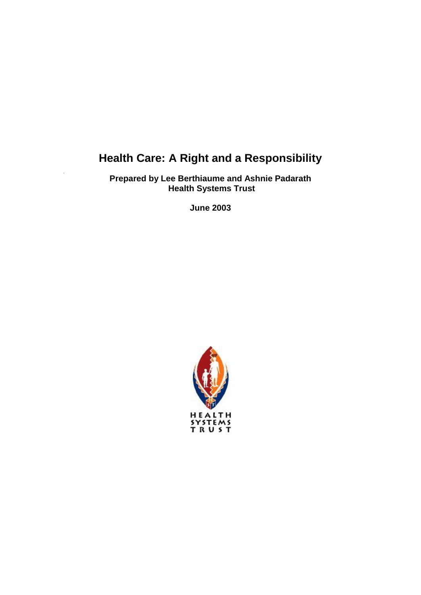# **Health Care: A Right and a Responsibility**

**Prepared by Lee Berthiaume and Ashnie Padarath Health Systems Trust**

**June 2003**

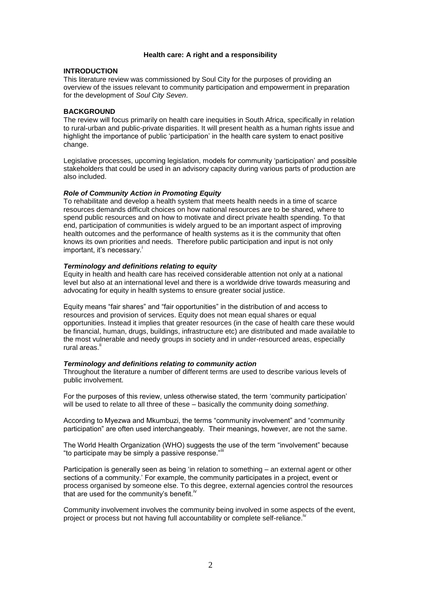#### **Health care: A right and a responsibility**

#### **INTRODUCTION**

This literature review was commissioned by Soul City for the purposes of providing an overview of the issues relevant to community participation and empowerment in preparation for the development of *Soul City Seven*.

#### **BACKGROUND**

The review will focus primarily on health care inequities in South Africa, specifically in relation to rural-urban and public-private disparities. It will present health as a human rights issue and highlight the importance of public 'participation' in the health care system to enact positive change.

Legislative processes, upcoming legislation, models for community 'participation' and possible stakeholders that could be used in an advisory capacity during various parts of production are also included.

#### *Role of Community Action in Promoting Equity*

To rehabilitate and develop a health system that meets health needs in a time of scarce resources demands difficult choices on how national resources are to be shared, where to spend public resources and on how to motivate and direct private health spending. To that end, participation of communities is widely argued to be an important aspect of improving health outcomes and the performance of health systems as it is the community that often knows its own priorities and needs. Therefore public participation and input is not only important, it's necessary.

### <span id="page-1-3"></span>*Terminology and definitions relating to equity*

Equity in health and health care has received considerable attention not only at a national level but also at an international level and there is a worldwide drive towards measuring and advocating for equity in health systems to ensure greater social justice.

Equity means "fair shares" and "fair opportunities" in the distribution of and access to resources and provision of services. Equity does not mean equal shares or equal opportunities. Instead it implies that greater resources (in the case of health care these would be financial, human, drugs, buildings, infrastructure etc) are distributed and made available to the most vulnerable and needy groups in society and in under-resourced areas, especially rural areas.<sup>ii</sup>

#### <span id="page-1-1"></span>*Terminology and definitions relating to community action*

Throughout the literature a number of different terms are used to describe various levels of public involvement.

For the purposes of this review, unless otherwise stated, the term 'community participation' will be used to relate to all three of these – basically the community doing *something*.

According to Myezwa and Mkumbuzi, the terms "community involvement" and "community participation" are often used interchangeably. Their meanings, however, are not the same.

<span id="page-1-2"></span>The World Health Organization (WHO) suggests the use of the term "involvement" because "to participate may be simply a passive response."

Participation is generally seen as being 'in relation to something – an external agent or other sections of a community.' For example, the community participates in a project, event or process organised by someone else. To this degree, external agencies control the resources that are used for the community's benefit.<sup> $iv$ </sup>

<span id="page-1-0"></span>Community involvement involves the community being involved in some aspects of the event, project or process but not having full accountability or complete self-reliance.<sup>17</sup>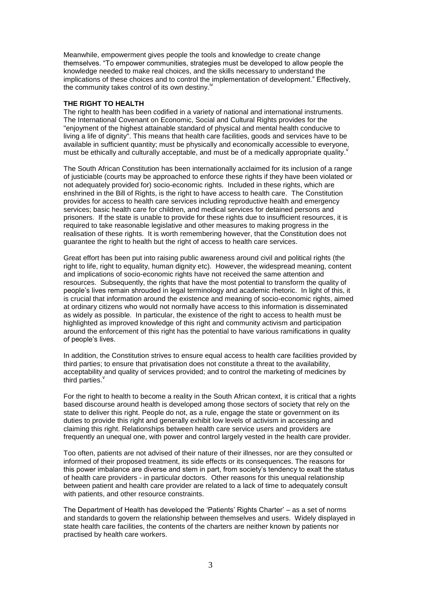Meanwhile, empowerment gives people the tools and knowledge to create change themselves. "To empower communities, strategies must be developed to allow people the knowledge needed to make real choices, and the skills necessary to understand the implications of these choices and to control the implementation of development." Effectively, the community takes control of its own destiny.<sup>1</sup>

### **THE RIGHT TO HEALTH**

The right to health has been codified in a variety of national and international instruments. The International Covenant on Economic, Social and Cultural Rights provides for the "enjoyment of the highest attainable standard of physical and mental health conducive to living a life of dignity". This means that health care facilities, goods and services have to be available in sufficient quantity; must be physically and economically accessible to everyone, must be ethically and culturally acceptable, and must be of a medically appropriate quality[.](#page-2-0)

The South African Constitution has been internationally acclaimed for its inclusion of a range of justiciable (courts may be approached to enforce these rights if they have been violated or not adequately provided for) socio-economic rights. Included in these rights, which are enshrined in the Bill of Rights, is the right to have access to health care. The Constitution provides for access to health care services including reproductive health and emergency services; basic health care for children, and medical services for detained persons and prisoners. If the state is unable to provide for these rights due to insufficient resources, it is required to take reasonable legislative and other measures to making progress in the realisation of these rights. It is worth remembering however, that the Constitution does not guarantee the right to health but the right of access to health care services.

Great effort has been put into raising public awareness around civil and political rights (the right to life, right to equality, human dignity etc). However, the widespread meaning, content and implications of socio-economic rights have not received the same attention and resources. Subsequently, the rights that have the most potential to transform the quality of people's lives remain shrouded in legal terminology and academic rhetoric. In light of this, it is crucial that information around the existence and meaning of socio-economic rights, aimed at ordinary citizens who would not normally have access to this information is disseminated as widely as possible. In particular, the existence of the right to access to health must be highlighted as improved knowledge of this right and community activism and participation around the enforcement of this right has the potential to have various ramifications in quality of people's lives.

In addition, the Constitution strives to ensure equal access to health care facilities provided by third parties; to ensure that privatisation does not constitute a threat to the availability, acceptability and quality of services provided; and to control the marketing of medicines by third parties.

<span id="page-2-0"></span>For the right to health to become a reality in the South African context, it is critical that a rights based discourse around health is developed among those sectors of society that rely on the state to deliver this right. People do not, as a rule, engage the state or government on its duties to provide this right and generally exhibit low levels of activism in accessing and claiming this right. Relationships between health care service users and providers are frequently an unequal one, with power and control largely vested in the health care provider.

Too often, patients are not advised of their nature of their illnesses, nor are they consulted or informed of their proposed treatment, its side effects or its consequences. The reasons for this power imbalance are diverse and stem in part, from society's tendency to exalt the status of health care providers - in particular doctors. Other reasons for this unequal relationship between patient and health care provider are related to a lack of time to adequately consult with patients, and other resource constraints.

The Department of Health has developed the 'Patients' Rights Charter' – as a set of norms and standards to govern the relationship between themselves and users. Widely displayed in state health care facilities, the contents of the charters are neither known by patients nor practised by health care workers.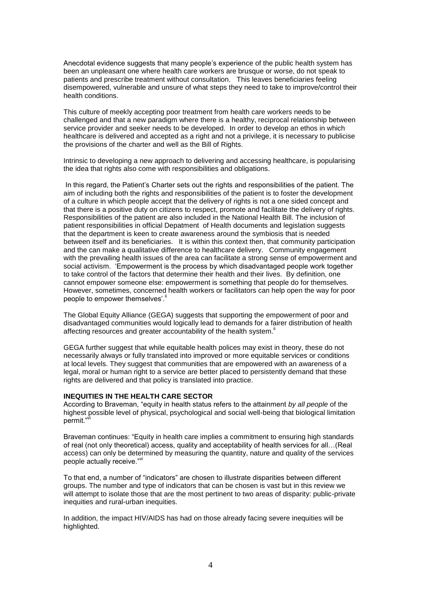Anecdotal evidence suggests that many people's experience of the public health system has been an unpleasant one where health care workers are brusque or worse, do not speak to patients and prescribe treatment without consultation. This leaves beneficiaries feeling disempowered, vulnerable and unsure of what steps they need to take to improve/control their health conditions.

This culture of meekly accepting poor treatment from health care workers needs to be challenged and that a new paradigm where there is a healthy, reciprocal relationship between service provider and seeker needs to be developed. In order to develop an ethos in which healthcare is delivered and accepted as a right and not a privilege, it is necessary to publicise the provisions of the charter and well as the Bill of Rights.

Intrinsic to developing a new approach to delivering and accessing healthcare, is popularising the idea that rights also come with responsibilities and obligations.

In this regard, the Patient's Charter sets out the rights and responsibilities of the patient. The aim of including both the rights and responsibilities of the patient is to foster the development of a culture in which people accept that the delivery of rights is not a one sided concept and that there is a positive duty on citizens to respect, promote and facilitate the delivery of rights. Responsibilities of the patient are also included in the National Health Bill. The inclusion of patient responsibilities in official Depatment of Health documents and legislation suggests that the department is keen to create awareness around the symbiosis that is needed between itself and its beneficiaries. It is within this context then, that community participation and the can make a qualitative difference to healthcare delivery. Community engagement with the prevailing health issues of the area can facilitate a strong sense of empowerment and social activism. 'Empowerment is the process by which disadvantaged people work together to take control of the factors that determine their health and their lives. By definition, one cannot empower someone else: empowerment is something that people do for themselves. However, sometimes, concerned health workers or facilitators can help open the way for poor people to empower themselves'[.](#page-1-1)"

The Global Equity Alliance (GEGA) suggests that supporting the empowerment of poor and disadvantaged communities would logically lead to demands for a fairer distribution of health affecting resources and greater accountability of the health system[.](#page-1-1)"

GEGA further suggest that while equitable health polices may exist in theory, these do not necessarily always or fully translated into improved or more equitable services or conditions at local levels. They suggest that communities that are empowered with an awareness of a legal, moral or human right to a service are better placed to persistently demand that these rights are delivered and that policy is translated into practice.

#### **INEQUITIES IN THE HEALTH CARE SECTOR**

According to Braveman, "equity in health status refers to the attainment *by all people* of the highest possible level of physical, psychological and social well-being that biological limitation permit."<sup>v</sup>

<span id="page-3-0"></span>Braveman continues: "Equity in health care implies a commitment to ensuring high standards of real (not only theoretical) access, quality and acceptability of health services for all…(Real access) can only be determined by measuring the quantity, nature and quality of the services people actually receive.["](#page-3-0)<sup>vi</sup>

To that end, a number of "indicators" are chosen to illustrate disparities between different groups. The number and type of indicators that can be chosen is vast but in this review we will attempt to isolate those that are the most pertinent to two areas of disparity: public-private inequities and rural-urban inequities.

In addition, the impact HIV/AIDS has had on those already facing severe inequities will be highlighted.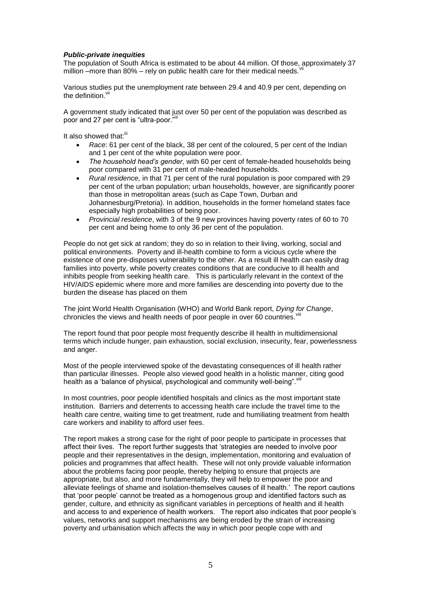## *Public-private inequities*

The population of South Africa is estimated to be about 44 million. Of those, approximately 37 million –more than 80% – rely on public health care for their medical needs.

Various studies put the unemployment rate between 29.4 and 40.9 per cent, depending on the definition.

A government study indicated that just over 50 per cent of the population was described as poor and 27 per cent is "ultra-poor."

It also showed that:<sup>[iii](#page-1-2)</sup>

- <span id="page-4-0"></span> *Race*: 61 per cent of the black, 38 per cent of the coloured, 5 per cent of the Indian and 1 per cent of the white population were poor.
- *The household head's gender*, with 60 per cent of female-headed households being poor compared with 31 per cent of male-headed households.
- *Rural residence,* in that 71 per cent of the rural population is poor compared with 29 per cent of the urban population; urban households, however, are significantly poorer than those in metropolitan areas (such as Cape Town, Durban and Johannesburg/Pretoria). In addition, households in the former homeland states face especially high probabilities of being poor.
- *Provincial residence*, with 3 of the 9 new provinces having poverty rates of 60 to 70 per cent and being home to only 36 per cent of the population.

People do not get sick at random; they do so in relation to their living, working, social and political environments. Poverty and ill-health combine to form a vicious cycle where the existence of one pre-disposes vulnerability to the other. As a result ill health can easily drag families into poverty, while poverty creates conditions that are conducive to ill health and inhibits people from seeking health care. This is particularly relevant in the context of the HIV/AIDS epidemic where more and more families are descending into poverty due to the burden the disease has placed on them

The joint World Health Organisation (WHO) and World Bank report, *Dying for Change*, chronicles the views and health needs of poor people in over 60 countries. Vii

The report found that poor people most frequently describe ill health in multidimensional terms which include hunger, pain exhaustion, social exclusion, insecurity, fear, powerlessness and anger.

Most of the people interviewed spoke of the devastating consequences of ill health rather than particular illnesses. People also viewed good health in a holistic manner, citing good health as a 'balance of physical, psychological and community well-being". Viii

In most countries, poor people identified hospitals and clinics as the most important state institution. Barriers and deterrents to accessing health care include the travel time to the health care centre, waiting time to get treatment, rude and humiliating treatment from health care workers and inability to afford user fees.

The report makes a strong case for the right of poor people to participate in processes that affect their lives. The report further suggests that 'strategies are needed to involve poor people and their representatives in the design, implementation, monitoring and evaluation of policies and programmes that affect health. These will not only provide valuable information about the problems facing poor people, thereby helping to ensure that projects are appropriate, but also, and more fundamentally, they will help to empower the poor and alleviate feelings of shame and isolation-themselves causes of ill health.' The report cautions that 'poor people' cannot be treated as a homogenous group and identified factors such as gender, culture, and ethnicity as significant variables in perceptions of health and ill health and access to and experience of health workers. The report also indicates that poor people's values, networks and support mechanisms are being eroded by the strain of increasing poverty and urbanisation which affects the way in which poor people cope with and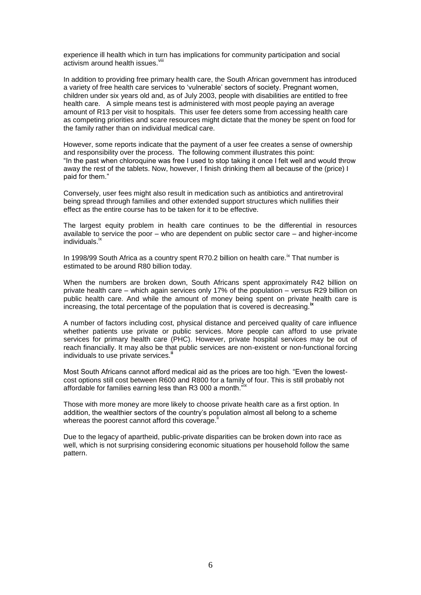<span id="page-5-0"></span>experience ill health which in turn has implications for community participation and social activism around health issues.<sup>viii</sup>

In addition to providing free primary health care, the South African government has introduced a variety of free health care services to 'vulnerable' sectors of society. Pregnant women, children under six years old and, as of July 2003, people with disabilities are entitled to free health care. A simple means test is administered with most people paying an average amount of R13 per visit to hospitals. This user fee deters some from accessing health care as competing priorities and scare resources might dictate that the money be spent on food for the family rather than on individual medical care.

However, some reports indicate that the payment of a user fee creates a sense of ownership and responsibility over the process. The following comment illustrates this point: "In the past when chloroquine was free I used to stop taking it once I felt well and would throw away the rest of the tablets. Now, however, I finish drinking them all because of the (price) I paid for them."

Conversely, user fees might also result in medication such as antibiotics and antiretroviral being spread through families and other extended support structures which nullifies their effect as the entire course has to be taken for it to be effective.

The largest equity problem in health care continues to be the differential in resources available to service the poor – who are dependent on public sector care – and higher-income individuals.<sup>ix</sup>

<span id="page-5-1"></span>In 1998/99 South Africa as a country spent R70.2 billion on health care.<sup>[ix](#page-5-1)</sup> That number is estimated to be around R80 billion today.

When the numbers are broken down, South Africans spent approximately R42 billion on private health care – which again services only 17% of the population – versus R29 billion on public health care. And while the amount of money being spent on private health care is increasing, the total percentage of the population that is covered is decreasing.<sup>1</sup>

A number of factors including cost, physical distance and perceived quality of care influence whether patients use private or public services. More people can afford to use private services for primary health care (PHC). However, private hospital services may be out of reach financially. It may also be that public services are non-existent or non-functional forcing individuals to use private services[.](#page-1-1)<sup>1</sup>

Most South Africans cannot afford medical aid as the prices are too high. "Even the lowestcost options still cost between R600 and R800 for a family of four. This is still probably not affordable for families earning less than R3 000 a month.<sup>"[ix](#page-5-1)</sup>

Those with more money are more likely to choose private health care as a first option. In addition, the wealthier sectors of the country's population almost all belong to a scheme whereas the poorest cannot afford this coverage[.](#page-1-1)

Due to the legacy of apartheid, public-private disparities can be broken down into race as well, which is not surprising considering economic situations per household follow the same pattern.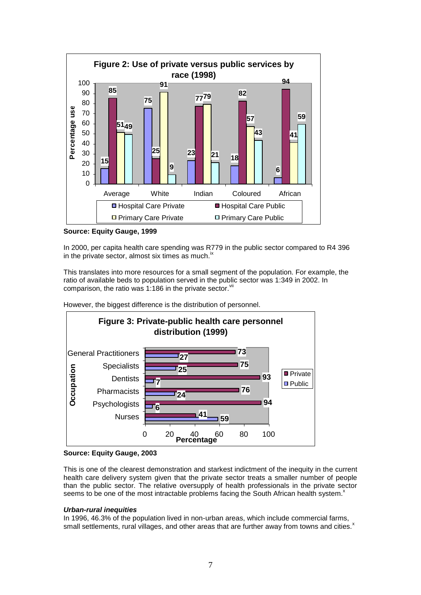

**Source: Equity Gauge, 1999**

In 2000, per capita health care spending was R779 in the public sector compared to R4 396 in the private sector, almost s[ix](#page-5-1) times as much. $<sup>x</sup>$ </sup>

This translates into more resources for a small segment of the population. For example, the ratio of available beds to population served in the public sector was 1:349 in 2002. In comparison, the ratio was 1:186 in the private sector. $W$ 



However, the biggest difference is the distribution of personnel.



This is one of the clearest demonstration and starkest indictment of the inequity in the current health care delivery system given that the private sector treats a smaller number of people than the public sector. The relative oversupply of health professionals in the private sector seems to be one of the most intractable problems facing the South African health system.<sup>x</sup>

# <span id="page-6-0"></span>*Urban-rural inequities*

In 1996, 46.3% of the population lived in non-urban areas, which include commercial farms, small settlements, rural villages, and other areas that are further away from towns and cities[.](#page-6-0)<sup>x</sup>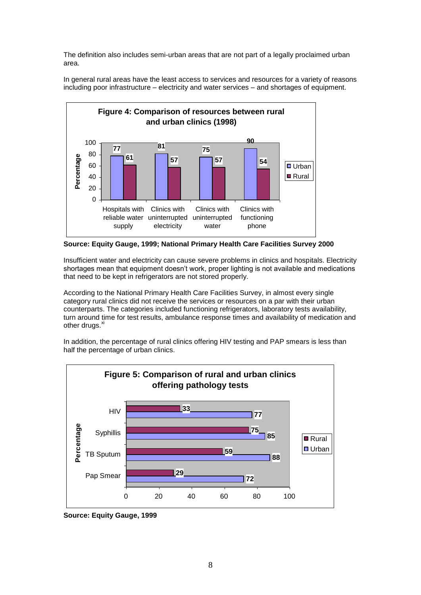The definition also includes semi-urban areas that are not part of a legally proclaimed urban area.

In general rural areas have the least access to services and resources for a variety of reasons including poor infrastructure – electricity and water services – and shortages of equipment.



**Source: Equity Gauge, 1999; National Primary Health Care Facilities Survey 2000**

Insufficient water and electricity can cause severe problems in clinics and hospitals. Electricity shortages mean that equipment doesn't work, proper lighting is not available and medications that need to be kept in refrigerators are not stored properly.

According to the National Primary Health Care Facilities Survey, in almost every single category rural clinics did not receive the services or resources on a par with their urban counterparts. The categories included functioning refrigerators, laboratory tests availability, turn around time for test results, ambulance response times and availability of medication and other drugs. $^{xi}$ 

In addition, the percentage of rural clinics offering HIV testing and PAP smears is less than half the percentage of urban clinics.



**Source: Equity Gauge, 1999**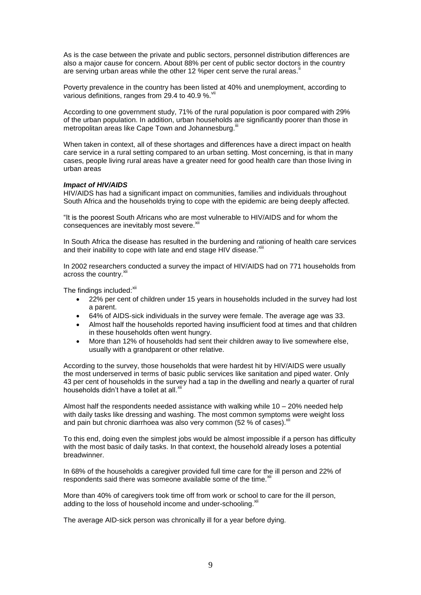As is the case between the private and public sectors, personnel distribution differences are also a major cause for concern. About 88% per cent of public sector doctors in the country are serving urban areas while the other 12 %per cent serve the rural areas[.](#page-1-1)

Poverty prevalence in the country has been listed at 40% and unemployment, according to various definitions, ranges from 29.4 to 40.9 %.

According to one government study, 71% of the rural population is poor compared with 29% of the urban population. In addition, urban households are significantly poorer than those in metropolitan areas like Cape Town and Johannesburg.<sup>[iii](#page-1-2)</sup>

When taken in context, all of these shortages and differences have a direct impact on health care service in a rural setting compared to an urban setting. Most concerning, is that in many cases, people living rural areas have a greater need for good health care than those living in urban areas

#### *Impact of HIV/AIDS*

HIV/AIDS has had a significant impact on communities, families and individuals throughout South Africa and the households trying to cope with the epidemic are being deeply affected.

<span id="page-8-0"></span>"It is the poorest South Africans who are most vulnerable to HIV/AIDS and for whom the consequences are inevitably most severe.<sup>xii</sup>

In South Africa the disease has resulted in the burdening and rationing of health care services and their inability to cope with late and end stage HIV disease.<sup>xiii</sup>

In 2002 researchers conducted a survey the impact of HIV/AIDS had on 771 households from across the country.<sup>[xii](#page-8-0)</sup>

The findings included:<sup>[xii](#page-8-0)</sup>

- <span id="page-8-1"></span> 22% per cent of children under 15 years in households included in the survey had lost a parent.
- 64% of AIDS-sick individuals in the survey were female. The average age was 33.
- Almost half the households reported having insufficient food at times and that children in these households often went hungry.
- More than 12% of households had sent their children away to live somewhere else, usually with a grandparent or other relative.

According to the survey, those households that were hardest hit by HIV/AIDS were usually the most underserved in terms of basic public services like sanitation and piped water. Only 43 per cent of households in the survey had a tap in the dwelling and nearly a quarter of rural households didn't have a toilet at all.<sup>[xii](#page-8-0)</sup>

Almost half the respondents needed assistance with walking while  $10 - 20\%$  needed help with daily tasks like dressing and washing. The most common symptoms were weight loss and pain but chronic diarrhoea was also very common (52  $%$  of cases). $*$ 

To this end, doing even the simplest jobs would be almost impossible if a person has difficulty with the most basic of daily tasks. In that context, the household already loses a potential breadwinner.

In 68% of the households a caregiver provided full time care for the ill person and 22% of respondents said there was someone available some of the time.<sup>[xii](#page-8-0)</sup>

More than 40% of caregivers took time off from work or school to care for the ill person, adding to the loss of household income and under-schooling.

The average AID-sick person was chronically ill for a year before dying.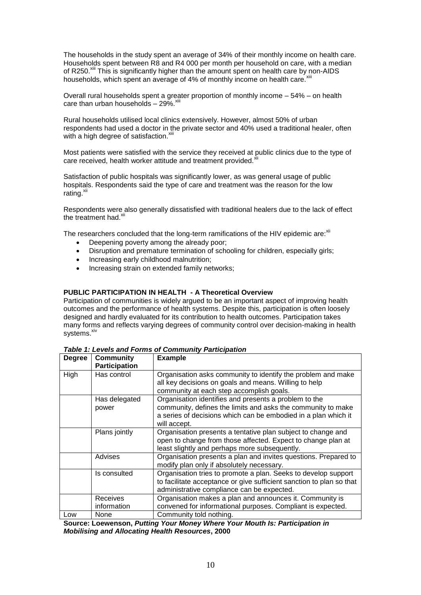The households in the study spent an average of 34% of their monthly income on health care. Households spent between R8 and R4 000 per month per household on care, with a median of R250.<sup>[xiii](#page-8-1)</sup> This is significantly higher than the amount spent on health care by non-AIDS households, which spent an average of 4% of monthly income on health care. Xii

Overall rural households spent a greater proportion of monthly income – 54% – on health care than urban households  $-29\%$ .  $\frac{x}{10}$ 

Rural households utilised local clinics extensively. However, almost 50% of urban respondents had used a doctor in the private sector and 40% used a traditional healer, often with a high degree of satisfaction.<sup>[xiii](#page-8-1)</sup>

Most patients were satisfied with the service they received at public clinics due to the type of care received, health worker attitude and treatment provided.<sup>xi</sup>

Satisfaction of public hospitals was significantly lower, as was general usage of public hospitals. Respondents said the type of care and treatment was the reason for the low rating. $^{xii}$  $^{xii}$  $^{xii}$ 

Respondents were also generally dissatisfied with traditional healers due to the lack of effect the treatment had. $x$ 

The researchers concluded that the long-term ramifications of the HIV epidemic are: [xii](#page-8-0)

- Deepening poverty among the already poor;
- Disruption and premature termination of schooling for children, especially girls;
- Increasing early childhood malnutrition;
- Increasing strain on extended family networks;

## **PUBLIC PARTICIPATION IN HEALTH - A Theoretical Overview**

Participation of communities is widely argued to be an important aspect of improving health outcomes and the performance of health systems. Despite this, participation is often loosely designed and hardly evaluated for its contribution to health outcomes. Participation takes many forms and reflects varying degrees of community control over decision-making in health systems.<sup>xiv</sup>

| <b>Degree</b> | <b>Community</b>               | <b>Example</b>                                                                                                                                                                                          |  |
|---------------|--------------------------------|---------------------------------------------------------------------------------------------------------------------------------------------------------------------------------------------------------|--|
|               | <b>Participation</b>           |                                                                                                                                                                                                         |  |
| High          | Has control                    | Organisation asks community to identify the problem and make<br>all key decisions on goals and means. Willing to help<br>community at each step accomplish goals.                                       |  |
|               | Has delegated<br>power         | Organisation identifies and presents a problem to the<br>community, defines the limits and asks the community to make<br>a series of decisions which can be embodied in a plan which it<br>will accept. |  |
|               | Plans jointly                  | Organisation presents a tentative plan subject to change and<br>open to change from those affected. Expect to change plan at<br>least slightly and perhaps more subsequently.                           |  |
|               | Advises                        | Organisation presents a plan and invites questions. Prepared to<br>modify plan only if absolutely necessary.                                                                                            |  |
|               | Is consulted                   | Organisation tries to promote a plan. Seeks to develop support<br>to facilitate acceptance or give sufficient sanction to plan so that<br>administrative compliance can be expected.                    |  |
|               | <b>Receives</b><br>information | Organisation makes a plan and announces it. Community is<br>convened for informational purposes. Compliant is expected.                                                                                 |  |
| Low           | None                           | Community told nothing.                                                                                                                                                                                 |  |

<span id="page-9-0"></span>*Table 1: Levels and Forms of Community Participation*

**Source: Loewenson,** *Putting Your Money Where Your Mouth Is: Participation in Mobilising and Allocating Health Resources***, 2000**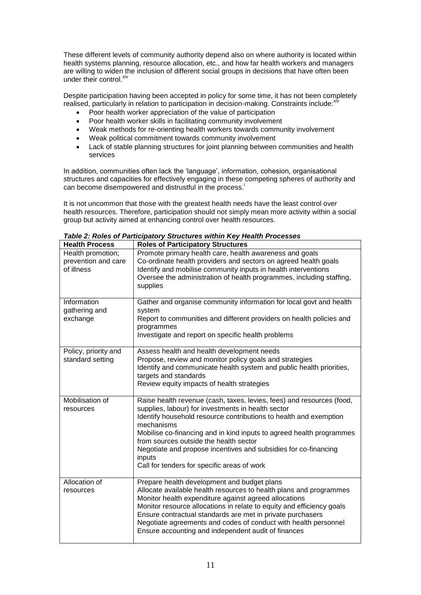These different levels of community authority depend also on where authority is located within health systems planning, resource allocation, etc., and how far health workers and managers are willing to widen the inclusion of different social groups in decisions that have often been under their control.<sup>[xiv](#page-9-0)</sup>

Despite participation having been accepted in policy for some time, it has not been completely realised, particularly in relation to participation in decision-making. Constraints include:<sup>xi</sup>

- Poor health worker appreciation of the value of participation
- Poor health worker skills in facilitating community involvement
- Weak methods for re-orienting health workers towards community involvement
- Weak political commitment towards community involvement
- Lack of stable planning structures for joint planning between communities and health services

In addition, communities often lack the 'language', information, cohesion, organisational structures and capacities for effectively engaging in these competing spheres of authority and can become disempowered and distrustful in the process[.](#page-1-3)

It is not uncommon that those with the greatest health needs have the least control over health resources. Therefore, participation should not simply mean more activity within a social group but activity aimed at enhancing control over health resources.

| <b>Health Process</b>                                  | <b>Roles of Participatory Structures</b>                                                                                                                                                                                                                                                                                                                                                                                                                     |  |
|--------------------------------------------------------|--------------------------------------------------------------------------------------------------------------------------------------------------------------------------------------------------------------------------------------------------------------------------------------------------------------------------------------------------------------------------------------------------------------------------------------------------------------|--|
| Health promotion;<br>prevention and care<br>of illness | Promote primary health care, health awareness and goals<br>Co-ordinate health providers and sectors on agreed health goals<br>Identify and mobilise community inputs in health interventions<br>Oversee the administration of health programmes, including staffing,<br>supplies                                                                                                                                                                             |  |
| Information<br>gathering and<br>exchange               | Gather and organise community information for local govt and health<br>system<br>Report to communities and different providers on health policies and<br>programmes<br>Investigate and report on specific health problems                                                                                                                                                                                                                                    |  |
| Policy, priority and<br>standard setting               | Assess health and health development needs<br>Propose, review and monitor policy goals and strategies<br>Identify and communicate health system and public health priorities,<br>targets and standards<br>Review equity impacts of health strategies                                                                                                                                                                                                         |  |
| Mobilisation of<br>resources                           | Raise health revenue (cash, taxes, levies, fees) and resources (food,<br>supplies, labour) for investments in health sector<br>Identify household resource contributions to health and exemption<br>mechanisms<br>Mobilise co-financing and in kind inputs to agreed health programmes<br>from sources outside the health sector<br>Negotiate and propose incentives and subsidies for co-financing<br>inputs<br>Call for tenders for specific areas of work |  |
| Allocation of<br>resources                             | Prepare health development and budget plans<br>Allocate available health resources to health plans and programmes<br>Monitor health expenditure against agreed allocations<br>Monitor resource allocations in relate to equity and efficiency goals<br>Ensure contractual standards are met in private purchasers<br>Negotiate agreements and codes of conduct with health personnel<br>Ensure accounting and independent audit of finances                  |  |

*Table 2: Roles of Participatory Structures within Key Health Processes*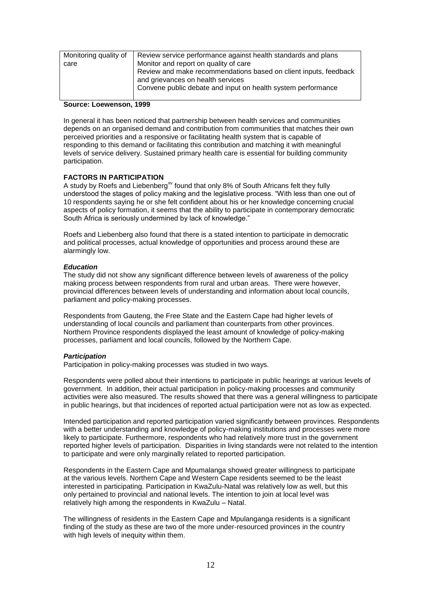| Monitoring quality of | Review service performance against health standards and plans                                                                                                         |
|-----------------------|-----------------------------------------------------------------------------------------------------------------------------------------------------------------------|
| care                  | Monitor and report on quality of care                                                                                                                                 |
|                       | Review and make recommendations based on client inputs, feedback<br>and grievances on health services<br>Convene public debate and input on health system performance |

#### **Source: Loewenson, 1999**

In general it has been noticed that partnership between health services and communities depends on an organised demand and contribution from communities that matches their own perceived priorities and a responsive or facilitating health system that is capable of responding to this demand or facilitating this contribution and matching it with meaningful levels of service delivery. Sustained primary health care is essential for building community participation.

#### **FACTORS IN PARTICIPATION**

<span id="page-11-0"></span>A study by Roefs and Liebenberg<sup>xv</sup> found that only 8% of South Africans felt they fully understood the stages of policy making and the legislative process. "With less than one out of 10 respondents saying he or she felt confident about his or her knowledge concerning crucial aspects of policy formation, it seems that the ability to participate in contemporary democratic South Africa is seriously undermined by lack of knowledge."

Roefs and Liebenberg also found that there is a stated intention to participate in democratic and political processes, actual knowledge of opportunities and process around these are alarmingly low.

#### *Education*

The study did not show any significant difference between levels of awareness of the policy making process between respondents from rural and urban areas. There were however, provincial differences between levels of understanding and information about local councils, parliament and policy-making processes.

Respondents from Gauteng, the Free State and the Eastern Cape had higher levels of understanding of local councils and parliament than counterparts from other provinces. Northern Province respondents displayed the least amount of knowledge of policy-making processes, parliament and local councils, followed by the Northern Cape.

#### *Participation*

Participation in policy-making processes was studied in two ways.

Respondents were polled about their intentions to participate in public hearings at various levels of government. In addition, their actual participation in policy-making processes and community activities were also measured. The results showed that there was a general willingness to participate in public hearings, but that incidences of reported actual participation were not as low as expected.

Intended participation and reported participation varied significantly between provinces. Respondents with a better understanding and knowledge of policy-making institutions and processes were more likely to participate. Furthermore, respondents who had relatively more trust in the government reported higher levels of participation. Disparities in living standards were not related to the intention to participate and were only marginally related to reported participation.

Respondents in the Eastern Cape and Mpumalanga showed greater willingness to participate at the various levels. Northern Cape and Western Cape residents seemed to be the least interested in participating. Participation in KwaZulu-Natal was relatively low as well, but this only pertained to provincial and national levels. The intention to join at local level was relatively high among the respondents in KwaZulu – Natal.

The willingness of residents in the Eastern Cape and Mpulanganga residents is a significant finding of the study as these are two of the more under-resourced provinces in the country with high levels of inequity within them.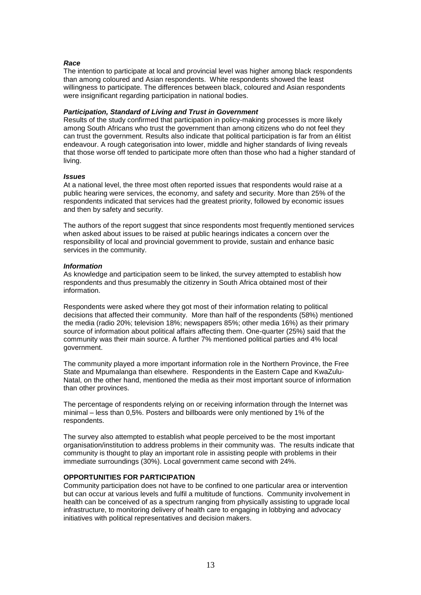### *Race*

The intention to participate at local and provincial level was higher among black respondents than among coloured and Asian respondents. White respondents showed the least willingness to participate. The differences between black, coloured and Asian respondents were insignificant regarding participation in national bodies.

## *Participation, Standard of Living and Trust in Government*

Results of the study confirmed that participation in policy-making processes is more likely among South Africans who trust the government than among citizens who do not feel they can trust the government. Results also indicate that political participation is far from an élitist endeavour. A rough categorisation into lower, middle and higher standards of living reveals that those worse off tended to participate more often than those who had a higher standard of living.

#### *Issues*

At a national level, the three most often reported issues that respondents would raise at a public hearing were services, the economy, and safety and security. More than 25% of the respondents indicated that services had the greatest priority, followed by economic issues and then by safety and security.

The authors of the report suggest that since respondents most frequently mentioned services when asked about issues to be raised at public hearings indicates a concern over the responsibility of local and provincial government to provide, sustain and enhance basic services in the community.

### *Information*

As knowledge and participation seem to be linked, the survey attempted to establish how respondents and thus presumably the citizenry in South Africa obtained most of their information.

Respondents were asked where they got most of their information relating to political decisions that affected their community. More than half of the respondents (58%) mentioned the media (radio 20%; television 18%; newspapers 85%; other media 16%) as their primary source of information about political affairs affecting them. One-quarter (25%) said that the community was their main source. A further 7% mentioned political parties and 4% local government.

The community played a more important information role in the Northern Province, the Free State and Mpumalanga than elsewhere. Respondents in the Eastern Cape and KwaZulu-Natal, on the other hand, mentioned the media as their most important source of information than other provinces.

The percentage of respondents relying on or receiving information through the Internet was minimal – less than 0,5%. Posters and billboards were only mentioned by 1% of the respondents.

The survey also attempted to establish what people perceived to be the most important organisation/institution to address problems in their community was. The results indicate that community is thought to play an important role in assisting people with problems in their immediate surroundings (30%). Local government came second with 24%.

#### **OPPORTUNITIES FOR PARTICIPATION**

Community participation does not have to be confined to one particular area or intervention but can occur at various levels and fulfil a multitude of functions. Community involvement in health can be conceived of as a spectrum ranging from physically assisting to upgrade local infrastructure, to monitoring delivery of health care to engaging in lobbying and advocacy initiatives with political representatives and decision makers.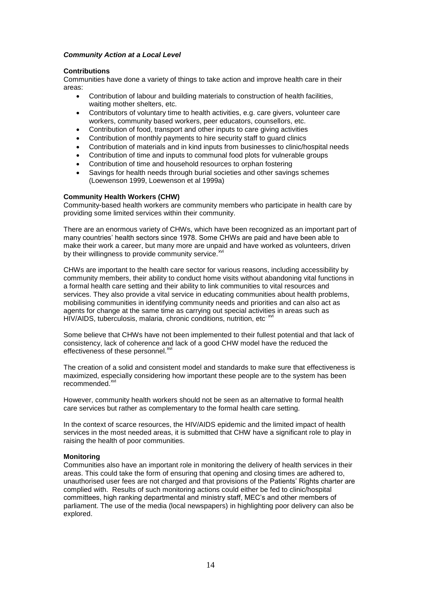## *Community Action at a Local Level*

#### **Contributions**

Communities have done a variety of things to take action and improve health care in their areas:

- Contribution of labour and building materials to construction of health facilities, waiting mother shelters, etc.
- Contributors of voluntary time to health activities, e.g. care givers, volunteer care workers, community based workers, peer educators, counsellors, etc.
- Contribution of food, transport and other inputs to care giving activities
- Contribution of monthly payments to hire security staff to guard clinics
- Contribution of materials and in kind inputs from businesses to clinic/hospital needs
- Contribution of time and inputs to communal food plots for vulnerable groups
- Contribution of time and household resources to orphan fostering
- Savings for health needs through burial societies and other savings schemes (Loewenson 1999, Loewenson et al 1999a)

## **Community Health Workers (CHW)**

Community-based health workers are community members who participate in health care by providing some limited services within their community.

There are an enormous variety of CHWs, which have been recognized as an important part of many countries' health sectors since 1978. Some CHWs are paid and have been able to make their work a career, but many more are unpaid and have worked as volunteers, driven by their willingness to provide community service. xvi

<span id="page-13-0"></span>CHWs are important to the health care sector for various reasons, including accessibility by community members, their ability to conduct home visits without abandoning vital functions in a formal health care setting and their ability to link communities to vital resources and services. They also provide a vital service in educating communities about health problems, mobilising communities in identifying community needs and priorities and can also act as agents for change at the same time as carrying out special activities in areas such as HIV/AIDS, tuberculosis, malaria, chronic conditions, nutrition, etc. XVI

Some believe that CHWs have not been implemented to their fullest potential and that lack of consistency, lack of coherence and lack of a good CHW model have the reduced the effectiveness of these personnel.<sup>[xvi](#page-13-0)</sup>

The creation of a solid and consistent model and standards to make sure that effectiveness is maximized, especially considering how important these people are to the system has been recommended.<sup>[xvi](#page-13-0)</sup>

However, community health workers should not be seen as an alternative to formal health care services but rather as complementary to the formal health care setting.

In the context of scarce resources, the HIV/AIDS epidemic and the limited impact of health services in the most needed areas, it is submitted that CHW have a significant role to play in raising the health of poor communities.

#### **Monitoring**

Communities also have an important role in monitoring the delivery of health services in their areas. This could take the form of ensuring that opening and closing times are adhered to, unauthorised user fees are not charged and that provisions of the Patients' Rights charter are complied with. Results of such monitoring actions could either be fed to clinic/hospital committees, high ranking departmental and ministry staff, MEC's and other members of parliament. The use of the media (local newspapers) in highlighting poor delivery can also be explored.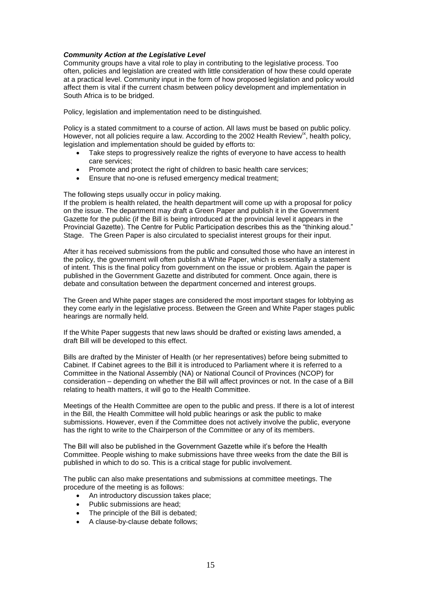## *Community Action at the Legislative Level*

Community groups have a vital role to play in contributing to the legislative process. Too often, policies and legislation are created with little consideration of how these could operate at a practical level. Community input in the form of how proposed legislation and policy would affect them is vital if the current chasm between policy development and implementation in South Africa is to be bridged.

Policy, legislation and implementation need to be distinguished.

Policy is a stated commitment to a course of action. All laws must be based on public policy. However, not all policies require a law. According to the 2002 Health Review<sup>[ix](#page-5-1)</sup>, health policy, legislation and implementation should be guided by efforts to:

- Take steps to progressively realize the rights of everyone to have access to health care services;
- Promote and protect the right of children to basic health care services;
- Ensure that no-one is refused emergency medical treatment;

The following steps usually occur in policy making.

If the problem is health related, the health department will come up with a proposal for policy on the issue. The department may draft a Green Paper and publish it in the Government Gazette for the public (if the Bill is being introduced at the provincial level it appears in the Provincial Gazette). The Centre for Public Participation describes this as the "thinking aloud." Stage. The Green Paper is also circulated to specialist interest groups for their input.

After it has received submissions from the public and consulted those who have an interest in the policy, the government will often publish a White Paper, which is essentially a statement of intent. This is the final policy from government on the issue or problem. Again the paper is published in the Government Gazette and distributed for comment. Once again, there is debate and consultation between the department concerned and interest groups.

The Green and White paper stages are considered the most important stages for lobbying as they come early in the legislative process. Between the Green and White Paper stages public hearings are normally held.

If the White Paper suggests that new laws should be drafted or existing laws amended, a draft Bill will be developed to this effect.

Bills are drafted by the Minister of Health (or her representatives) before being submitted to Cabinet. If Cabinet agrees to the Bill it is introduced to Parliament where it is referred to a Committee in the National Assembly (NA) or National Council of Provinces (NCOP) for consideration – depending on whether the Bill will affect provinces or not. In the case of a Bill relating to health matters, it will go to the Health Committee.

Meetings of the Health Committee are open to the public and press. If there is a lot of interest in the Bill, the Health Committee will hold public hearings or ask the public to make submissions. However, even if the Committee does not actively involve the public, everyone has the right to write to the Chairperson of the Committee or any of its members.

The Bill will also be published in the Government Gazette while it's before the Health Committee. People wishing to make submissions have three weeks from the date the Bill is published in which to do so. This is a critical stage for public involvement.

The public can also make presentations and submissions at committee meetings. The procedure of the meeting is as follows:

- An introductory discussion takes place;
- Public submissions are head;
- The principle of the Bill is debated;
- A clause-by-clause debate follows;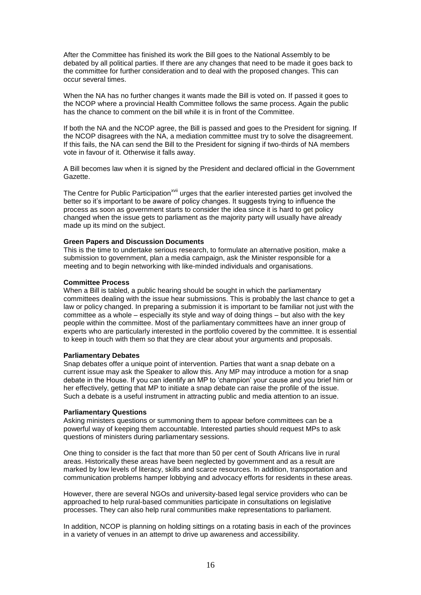After the Committee has finished its work the Bill goes to the National Assembly to be debated by all political parties. If there are any changes that need to be made it goes back to the committee for further consideration and to deal with the proposed changes. This can occur several times.

When the NA has no further changes it wants made the Bill is voted on. If passed it goes to the NCOP where a provincial Health Committee follows the same process. Again the public has the chance to comment on the bill while it is in front of the Committee.

If both the NA and the NCOP agree, the Bill is passed and goes to the President for signing. If the NCOP disagrees with the NA, a mediation committee must try to solve the disagreement. If this fails, the NA can send the Bill to the President for signing if two-thirds of NA members vote in favour of it. Otherwise it falls away.

A Bill becomes law when it is signed by the President and declared official in the Government Gazette.

The Centre for Public Participation<sup>[xvii](#page-16-0)</sup> urges that the earlier interested parties get involved the better so it's important to be aware of policy changes. It suggests trying to influence the process as soon as government starts to consider the idea since it is hard to get policy changed when the issue gets to parliament as the majority party will usually have already made up its mind on the subject.

#### **Green Papers and Discussion Documents**

This is the time to undertake serious research, to formulate an alternative position, make a submission to government, plan a media campaign, ask the Minister responsible for a meeting and to begin networking with like-minded individuals and organisations.

## **Committee Process**

When a Bill is tabled, a public hearing should be sought in which the parliamentary committees dealing with the issue hear submissions. This is probably the last chance to get a law or policy changed. In preparing a submission it is important to be familiar not just with the committee as a whole – especially its style and way of doing things – but also with the key people within the committee. Most of the parliamentary committees have an inner group of experts who are particularly interested in the portfolio covered by the committee. It is essential to keep in touch with them so that they are clear about your arguments and proposals.

#### **Parliamentary Debates**

Snap debates offer a unique point of intervention. Parties that want a snap debate on a current issue may ask the Speaker to allow this. Any MP may introduce a motion for a snap debate in the House. If you can identify an MP to 'champion' your cause and you brief him or her effectively, getting that MP to initiate a snap debate can raise the profile of the issue. Such a debate is a useful instrument in attracting public and media attention to an issue.

#### **Parliamentary Questions**

Asking ministers questions or summoning them to appear before committees can be a powerful way of keeping them accountable. Interested parties should request MPs to ask questions of ministers during parliamentary sessions.

One thing to consider is the fact that more than 50 per cent of South Africans live in rural areas. Historically these areas have been neglected by government and as a result are marked by low levels of literacy, skills and scarce resources. In addition, transportation and communication problems hamper lobbying and advocacy efforts for residents in these areas.

However, there are several NGOs and university-based legal service providers who can be approached to help rural-based communities participate in consultations on legislative processes. They can also help rural communities make representations to parliament.

In addition, NCOP is planning on holding sittings on a rotating basis in each of the provinces in a variety of venues in an attempt to drive up awareness and accessibility.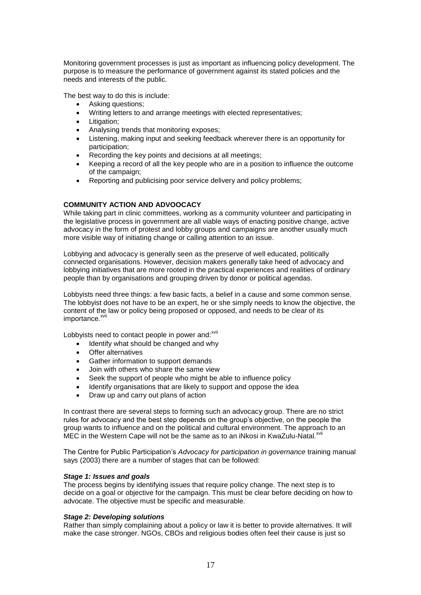Monitoring government processes is just as important as influencing policy development. The purpose is to measure the performance of government against its stated policies and the needs and interests of the public.

The best way to do this is include:

- Asking questions;
- Writing letters to and arrange meetings with elected representatives;
- Litigation:
- Analysing trends that monitoring exposes;
- Listening, making input and seeking feedback wherever there is an opportunity for participation;
- Recording the key points and decisions at all meetings;
- Keeping a record of all the key people who are in a position to influence the outcome of the campaign;
- Reporting and publicising poor service delivery and policy problems;

## **COMMUNITY ACTION AND ADVOOCACY**

While taking part in clinic committees, working as a community volunteer and participating in the legislative process in government are all viable ways of enacting positive change, active advocacy in the form of protest and lobby groups and campaigns are another usually much more visible way of initiating change or calling attention to an issue.

Lobbying and advocacy is generally seen as the preserve of well educated, politically connected organisations. However, decision makers generally take heed of advocacy and lobbying initiatives that are more rooted in the practical experiences and realities of ordinary people than by organisations and grouping driven by donor or political agendas.

Lobbyists need three things: a few basic facts, a belief in a cause and some common sense. The lobbyist does not have to be an expert, he or she simply needs to know the objective, the content of the law or policy being proposed or opposed, and needs to be clear of its importance.<sup>xvii</sup>

Lobbyists need to contact people in power and: [xvii](#page-16-0)

- <span id="page-16-0"></span>• Identify what should be changed and why
- Offer alternatives
- Gather information to support demands
- Join with others who share the same view
- Seek the support of people who might be able to influence policy
- Identify organisations that are likely to support and oppose the idea
- Draw up and carry out plans of action

In contrast there are several steps to forming such an advocacy group. There are no strict rules for advocacy and the best step depends on the group's objective, on the people the group wants to influence and on the political and cultural environment. The approach to an MEC in the Western Cape will not be the same as to an iNkosi in KwaZulu-Natal.<sup>[xvii](#page-16-0)</sup>

The Centre for Public Participation's *Advocacy for participation in governance* training manual says (2003) there are a number of stages that can be followed:

#### *Stage 1: Issues and goals*

The process begins by identifying issues that require policy change. The next step is to decide on a goal or objective for the campaign. This must be clear before deciding on how to advocate. The objective must be specific and measurable.

#### *Stage 2: Developing solutions*

Rather than simply complaining about a policy or law it is better to provide alternatives. It will make the case stronger. NGOs, CBOs and religious bodies often feel their cause is just so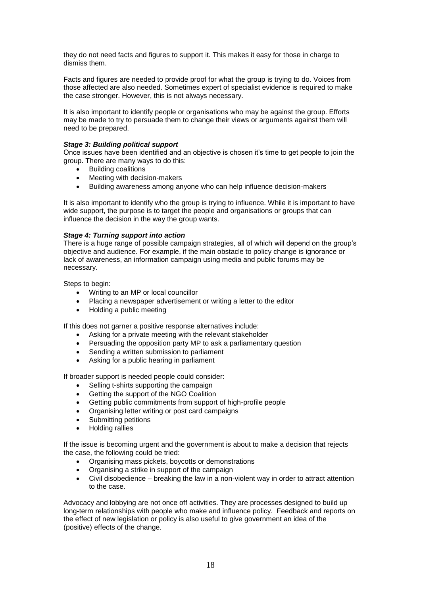they do not need facts and figures to support it. This makes it easy for those in charge to dismiss them.

Facts and figures are needed to provide proof for what the group is trying to do. Voices from those affected are also needed. Sometimes expert of specialist evidence is required to make the case stronger. However, this is not always necessary.

It is also important to identify people or organisations who may be against the group. Efforts may be made to try to persuade them to change their views or arguments against them will need to be prepared.

## *Stage 3: Building political support*

Once issues have been identified and an objective is chosen it's time to get people to join the group. There are many ways to do this:

- Building coalitions<br>• Meeting with decis
- Meeting with decision-makers
- Building awareness among anyone who can help influence decision-makers

It is also important to identify who the group is trying to influence. While it is important to have wide support, the purpose is to target the people and organisations or groups that can influence the decision in the way the group wants.

## *Stage 4: Turning support into action*

There is a huge range of possible campaign strategies, all of which will depend on the group's objective and audience. For example, if the main obstacle to policy change is ignorance or lack of awareness, an information campaign using media and public forums may be necessary.

Steps to begin:

- Writing to an MP or local councillor
- Placing a newspaper advertisement or writing a letter to the editor
- Holding a public meeting

If this does not garner a positive response alternatives include:

- Asking for a private meeting with the relevant stakeholder
- Persuading the opposition party MP to ask a parliamentary question
- Sending a written submission to parliament
- Asking for a public hearing in parliament

If broader support is needed people could consider:

- Selling t-shirts supporting the campaign
- Getting the support of the NGO Coalition
- Getting public commitments from support of high-profile people
- Organising letter writing or post card campaigns
- Submitting petitions
- Holding rallies

If the issue is becoming urgent and the government is about to make a decision that rejects the case, the following could be tried:

- Organising mass pickets, boycotts or demonstrations
- Organising a strike in support of the campaign
- Civil disobedience breaking the law in a non-violent way in order to attract attention to the case.

Advocacy and lobbying are not once off activities. They are processes designed to build up long-term relationships with people who make and influence policy. Feedback and reports on the effect of new legislation or policy is also useful to give government an idea of the (positive) effects of the change.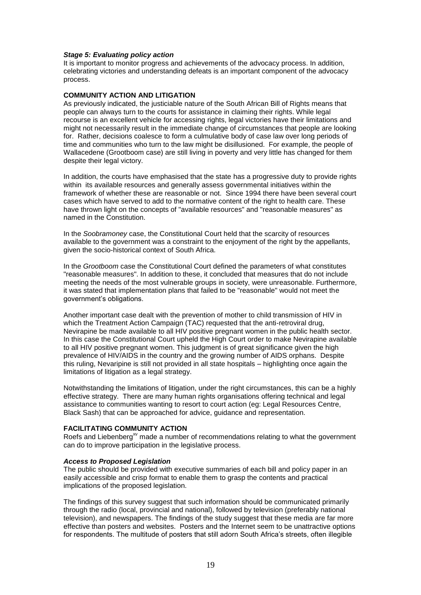### *Stage 5: Evaluating policy action*

It is important to monitor progress and achievements of the advocacy process. In addition, celebrating victories and understanding defeats is an important component of the advocacy process.

### **COMMUNITY ACTION AND LITIGATION**

As previously indicated, the justiciable nature of the South African Bill of Rights means that people can always turn to the courts for assistance in claiming their rights. While legal recourse is an excellent vehicle for accessing rights, legal victories have their limitations and might not necessarily result in the immediate change of circumstances that people are looking for. Rather, decisions coalesce to form a culmulative body of case law over long periods of time and communities who turn to the law might be disillusioned. For example, the people of Wallacedene (Grootboom case) are still living in poverty and very little has changed for them despite their legal victory.

In addition, the courts have emphasised that the state has a progressive duty to provide rights within its available resources and generally assess governmental initiatives within the framework of whether these are reasonable or not. Since 1994 there have been several court cases which have served to add to the normative content of the right to health care. These have thrown light on the concepts of "available resources" and "reasonable measures" as named in the Constitution.

In the *Soobramoney* case, the Constitutional Court held that the scarcity of resources available to the government was a constraint to the enjoyment of the right by the appellants, given the socio-historical context of South Africa.

In the *Grootboom* case the Constitutional Court defined the parameters of what constitutes "reasonable measures". In addition to these, it concluded that measures that do not include meeting the needs of the most vulnerable groups in society, were unreasonable. Furthermore, it was stated that implementation plans that failed to be "reasonable" would not meet the government's obligations.

Another important case dealt with the prevention of mother to child transmission of HIV in which the Treatment Action Campaign (TAC) requested that the anti-retroviral drug, Nevirapine be made available to all HIV positive pregnant women in the public health sector. In this case the Constitutional Court upheld the High Court order to make Nevirapine available to all HIV positive pregnant women. This judgment is of great significance given the high prevalence of HIV/AIDS in the country and the growing number of AIDS orphans. Despite this ruling, Nevaripine is still not provided in all state hospitals – highlighting once again the limitations of litigation as a legal strategy.

Notwithstanding the limitations of litigation, under the right circumstances, this can be a highly effective strategy. There are many human rights organisations offering technical and legal assistance to communities wanting to resort to court action (eg: Legal Resources Centre, Black Sash) that can be approached for advice, guidance and representation.

#### **FACILITATING COMMUNITY ACTION**

Roefs and Liebenberg<sup>[xv](#page-11-0)</sup> made a number of recommendations relating to what the government can do to improve participation in the legislative process.

#### *Access to Proposed Legislation*

The public should be provided with executive summaries of each bill and policy paper in an easily accessible and crisp format to enable them to grasp the contents and practical implications of the proposed legislation.

The findings of this survey suggest that such information should be communicated primarily through the radio (local, provincial and national), followed by television (preferably national television), and newspapers. The findings of the study suggest that these media are far more effective than posters and websites. Posters and the Internet seem to be unattractive options for respondents. The multitude of posters that still adorn South Africa's streets, often illegible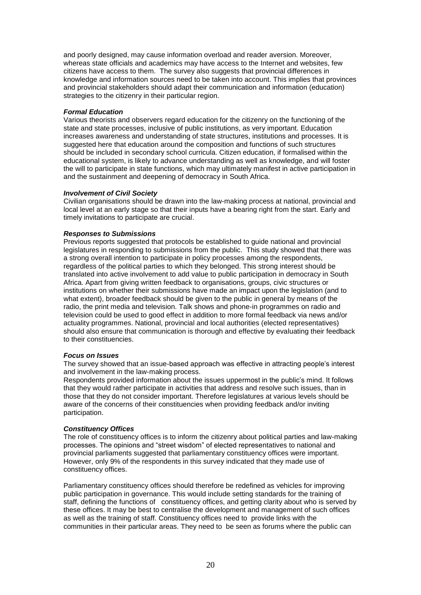and poorly designed, may cause information overload and reader aversion. Moreover, whereas state officials and academics may have access to the Internet and websites, few citizens have access to them. The survey also suggests that provincial differences in knowledge and information sources need to be taken into account. This implies that provinces and provincial stakeholders should adapt their communication and information (education) strategies to the citizenry in their particular region.

## *Formal Education*

Various theorists and observers regard education for the citizenry on the functioning of the state and state processes, inclusive of public institutions, as very important. Education increases awareness and understanding of state structures, institutions and processes. It is suggested here that education around the composition and functions of such structures should be included in secondary school curricula. Citizen education, if formalised within the educational system, is likely to advance understanding as well as knowledge, and will foster the will to participate in state functions, which may ultimately manifest in active participation in and the sustainment and deepening of democracy in South Africa.

## *Involvement of Civil Society*

Civilian organisations should be drawn into the law-making process at national, provincial and local level at an early stage so that their inputs have a bearing right from the start. Early and timely invitations to participate are crucial.

## *Responses to Submissions*

Previous reports suggested that protocols be established to guide national and provincial legislatures in responding to submissions from the public. This study showed that there was a strong overall intention to participate in policy processes among the respondents, regardless of the political parties to which they belonged. This strong interest should be translated into active involvement to add value to public participation in democracy in South Africa. Apart from giving written feedback to organisations, groups, civic structures or institutions on whether their submissions have made an impact upon the legislation (and to what extent), broader feedback should be given to the public in general by means of the radio, the print media and television. Talk shows and phone-in programmes on radio and television could be used to good effect in addition to more formal feedback via news and/or actuality programmes. National, provincial and local authorities (elected representatives) should also ensure that communication is thorough and effective by evaluating their feedback to their constituencies.

#### *Focus on Issues*

The survey showed that an issue-based approach was effective in attracting people's interest and involvement in the law-making process.

Respondents provided information about the issues uppermost in the public's mind. It follows that they would rather participate in activities that address and resolve such issues, than in those that they do not consider important. Therefore legislatures at various levels should be aware of the concerns of their constituencies when providing feedback and/or inviting participation.

#### *Constituency Offices*

The role of constituency offices is to inform the citizenry about political parties and law-making processes. The opinions and "street wisdom" of elected representatives to national and provincial parliaments suggested that parliamentary constituency offices were important. However, only 9% of the respondents in this survey indicated that they made use of constituency offices.

Parliamentary constituency offices should therefore be redefined as vehicles for improving public participation in governance. This would include setting standards for the training of staff, defining the functions of constituency offices, and getting clarity about who is served by these offices. It may be best to centralise the development and management of such offices as well as the training of staff. Constituency offices need to provide links with the communities in their particular areas. They need to be seen as forums where the public can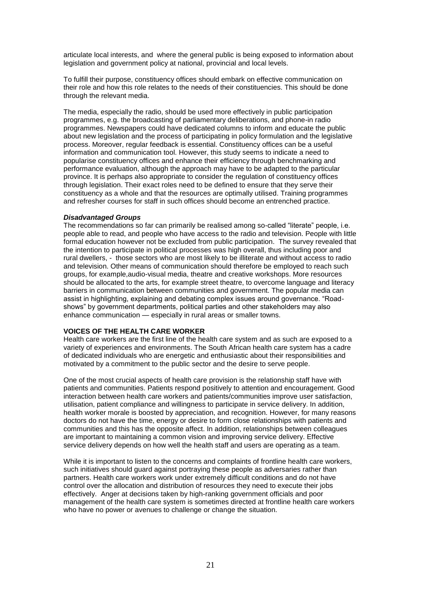articulate local interests, and where the general public is being exposed to information about legislation and government policy at national, provincial and local levels.

To fulfill their purpose, constituency offices should embark on effective communication on their role and how this role relates to the needs of their constituencies. This should be done through the relevant media.

The media, especially the radio, should be used more effectively in public participation programmes, e.g. the broadcasting of parliamentary deliberations, and phone-in radio programmes. Newspapers could have dedicated columns to inform and educate the public about new legislation and the process of participating in policy formulation and the legislative process. Moreover, regular feedback is essential. Constituency offices can be a useful information and communication tool. However, this study seems to indicate a need to popularise constituency offices and enhance their efficiency through benchmarking and performance evaluation, although the approach may have to be adapted to the particular province. It is perhaps also appropriate to consider the regulation of constituency offices through legislation. Their exact roles need to be defined to ensure that they serve their constituency as a whole and that the resources are optimally utilised. Training programmes and refresher courses for staff in such offices should become an entrenched practice.

#### *Disadvantaged Groups*

The recommendations so far can primarily be realised among so-called "literate" people, i.e. people able to read, and people who have access to the radio and television. People with little formal education however not be excluded from public participation. The survey revealed that the intention to participate in political processes was high overall, thus including poor and rural dwellers, - those sectors who are most likely to be illiterate and without access to radio and television. Other means of communication should therefore be employed to reach such groups, for example,audio-visual media, theatre and creative workshops. More resources should be allocated to the arts, for example street theatre, to overcome language and literacy barriers in communication between communities and government. The popular media can assist in highlighting, explaining and debating complex issues around governance. "Roadshows" by government departments, political parties and other stakeholders may also enhance communication — especially in rural areas or smaller towns.

## **VOICES OF THE HEALTH CARE WORKER**

Health care workers are the first line of the health care system and as such are exposed to a variety of experiences and environments. The South African health care system has a cadre of dedicated individuals who are energetic and enthusiastic about their responsibilities and motivated by a commitment to the public sector and the desire to serve people.

One of the most crucial aspects of health care provision is the relationship staff have with patients and communities. Patients respond positively to attention and encouragement. Good interaction between health care workers and patients/communities improve user satisfaction, utilisation, patient compliance and willingness to participate in service delivery. In addition, health worker morale is boosted by appreciation, and recognition. However, for many reasons doctors do not have the time, energy or desire to form close relationships with patients and communities and this has the opposite affect. In addition, relationships between colleagues are important to maintaining a common vision and improving service delivery. Effective service delivery depends on how well the health staff and users are operating as a team.

While it is important to listen to the concerns and complaints of frontline health care workers, such initiatives should guard against portraying these people as adversaries rather than partners. Health care workers work under extremely difficult conditions and do not have control over the allocation and distribution of resources they need to execute their jobs effectively. Anger at decisions taken by high-ranking government officials and poor management of the health care system is sometimes directed at frontline health care workers who have no power or avenues to challenge or change the situation.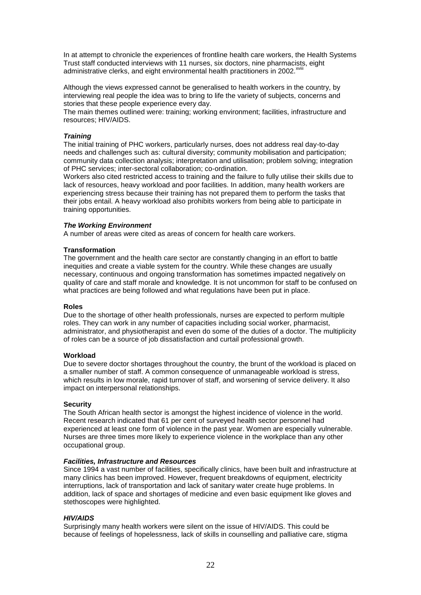In at attempt to chronicle the experiences of frontline health care workers, the Health Systems Trust staff conducted interviews with 11 nurses, six doctors, nine pharmacists, eight administrative clerks, and eight environmental health practitioners in 2002.<sup>xvi</sup>

Although the views expressed cannot be generalised to health workers in the country, by interviewing real people the idea was to bring to life the variety of subjects, concerns and stories that these people experience every day.

The main themes outlined were: training; working environment; facilities, infrastructure and resources; HIV/AIDS.

## *Training*

The initial training of PHC workers, particularly nurses, does not address real day-to-day needs and challenges such as: cultural diversity; community mobilisation and participation; community data collection analysis; interpretation and utilisation; problem solving; integration of PHC services; inter-sectoral collaboration; co-ordination.

Workers also cited restricted access to training and the failure to fully utilise their skills due to lack of resources, heavy workload and poor facilities. In addition, many health workers are experiencing stress because their training has not prepared them to perform the tasks that their jobs entail. A heavy workload also prohibits workers from being able to participate in training opportunities.

## *The Working Environment*

A number of areas were cited as areas of concern for health care workers.

## **Transformation**

The government and the health care sector are constantly changing in an effort to battle inequities and create a viable system for the country. While these changes are usually necessary, continuous and ongoing transformation has sometimes impacted negatively on quality of care and staff morale and knowledge. It is not uncommon for staff to be confused on what practices are being followed and what regulations have been put in place.

#### **Roles**

Due to the shortage of other health professionals, nurses are expected to perform multiple roles. They can work in any number of capacities including social worker, pharmacist, administrator, and physiotherapist and even do some of the duties of a doctor. The multiplicity of roles can be a source of job dissatisfaction and curtail professional growth.

#### **Workload**

Due to severe doctor shortages throughout the country, the brunt of the workload is placed on a smaller number of staff. A common consequence of unmanageable workload is stress, which results in low morale, rapid turnover of staff, and worsening of service delivery. It also impact on interpersonal relationships.

#### **Security**

The South African health sector is amongst the highest incidence of violence in the world. Recent research indicated that 61 per cent of surveyed health sector personnel had experienced at least one form of violence in the past year. Women are especially vulnerable. Nurses are three times more likely to experience violence in the workplace than any other occupational group.

#### *Facilities, Infrastructure and Resources*

Since 1994 a vast number of facilities, specifically clinics, have been built and infrastructure at many clinics has been improved. However, frequent breakdowns of equipment, electricity interruptions, lack of transportation and lack of sanitary water create huge problems. In addition, lack of space and shortages of medicine and even basic equipment like gloves and stethoscopes were highlighted.

## *HIV/AIDS*

Surprisingly many health workers were silent on the issue of HIV/AIDS. This could be because of feelings of hopelessness, lack of skills in counselling and palliative care, stigma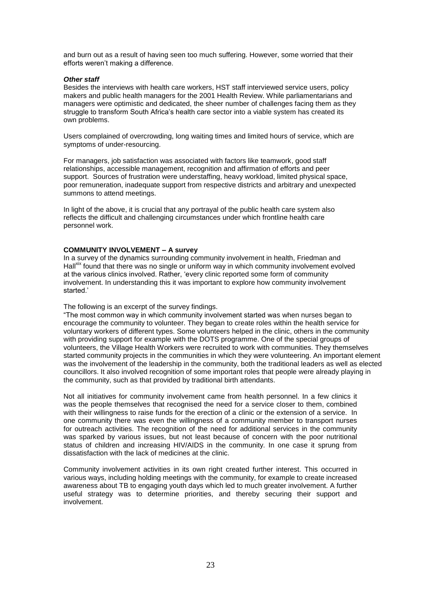and burn out as a result of having seen too much suffering. However, some worried that their efforts weren't making a difference.

## *Other staff*

Besides the interviews with health care workers, HST staff interviewed service users, policy makers and public health managers for the 2001 Health Review. While parliamentarians and managers were optimistic and dedicated, the sheer number of challenges facing them as they struggle to transform South Africa's health care sector into a viable system has created its own problems.

Users complained of overcrowding, long waiting times and limited hours of service, which are symptoms of under-resourcing.

For managers, job satisfaction was associated with factors like teamwork, good staff relationships, accessible management, recognition and affirmation of efforts and peer support. Sources of frustration were understaffing, heavy workload, limited physical space, poor remuneration, inadequate support from respective districts and arbitrary and unexpected summons to attend meetings.

In light of the above, it is crucial that any portrayal of the public health care system also reflects the difficult and challenging circumstances under which frontline health care personnel work.

## **COMMUNITY INVOLVEMENT – A survey**

In a survey of the dynamics surrounding community involvement in health, Friedman and Hall<sup>xix</sup> found that there was no single or uniform way in which community involvement evolved at the various clinics involved. Rather, 'every clinic reported some form of community involvement. In understanding this it was important to explore how community involvement started.'

The following is an excerpt of the survey findings.

"The most common way in which community involvement started was when nurses began to encourage the community to volunteer. They began to create roles within the health service for voluntary workers of different types. Some volunteers helped in the clinic, others in the community with providing support for example with the DOTS programme. One of the special groups of volunteers, the Village Health Workers were recruited to work with communities. They themselves started community projects in the communities in which they were volunteering. An important element was the involvement of the leadership in the community, both the traditional leaders as well as elected councillors. It also involved recognition of some important roles that people were already playing in the community, such as that provided by traditional birth attendants.

Not all initiatives for community involvement came from health personnel. In a few clinics it was the people themselves that recognised the need for a service closer to them, combined with their willingness to raise funds for the erection of a clinic or the extension of a service. In one community there was even the willingness of a community member to transport nurses for outreach activities. The recognition of the need for additional services in the community was sparked by various issues, but not least because of concern with the poor nutritional status of children and increasing HIV/AIDS in the community. In one case it sprung from dissatisfaction with the lack of medicines at the clinic.

Community involvement activities in its own right created further interest. This occurred in various ways, including holding meetings with the community, for example to create increased awareness about TB to engaging youth days which led to much greater involvement. A further useful strategy was to determine priorities, and thereby securing their support and involvement.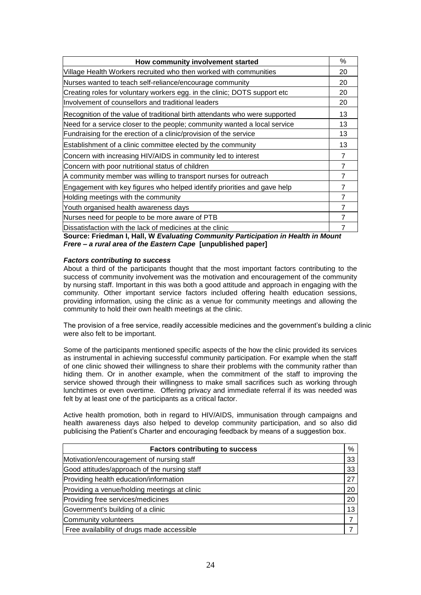| How community involvement started                                           | %  |
|-----------------------------------------------------------------------------|----|
| Village Health Workers recruited who then worked with communities           | 20 |
| Nurses wanted to teach self-reliance/encourage community                    | 20 |
| Creating roles for voluntary workers egg. in the clinic; DOTS support etc   | 20 |
| Involvement of counsellors and traditional leaders                          | 20 |
| Recognition of the value of traditional birth attendants who were supported | 13 |
| Need for a service closer to the people; community wanted a local service   | 13 |
| Fundraising for the erection of a clinic/provision of the service           | 13 |
| Establishment of a clinic committee elected by the community                | 13 |
| Concern with increasing HIV/AIDS in community led to interest               | 7  |
| Concern with poor nutritional status of children                            | 7  |
| A community member was willing to transport nurses for outreach             | 7  |
| Engagement with key figures who helped identify priorities and gave help    |    |
| Holding meetings with the community                                         | 7  |
| Youth organised health awareness days                                       |    |
| Nurses need for people to be more aware of PTB                              |    |
| Dissatisfaction with the lack of medicines at the clinic                    |    |

**Source: Friedman I, Hall, W** *Evaluating Community Participation in Health in Mount Frere – a rural area of the Eastern Cape* **[unpublished paper]**

## *Factors contributing to success*

About a third of the participants thought that the most important factors contributing to the success of community involvement was the motivation and encouragement of the community by nursing staff. Important in this was both a good attitude and approach in engaging with the community. Other important service factors included offering health education sessions, providing information, using the clinic as a venue for community meetings and allowing the community to hold their own health meetings at the clinic.

The provision of a free service, readily accessible medicines and the government's building a clinic were also felt to be important.

Some of the participants mentioned specific aspects of the how the clinic provided its services as instrumental in achieving successful community participation. For example when the staff of one clinic showed their willingness to share their problems with the community rather than hiding them. Or in another example, when the commitment of the staff to improving the service showed through their willingness to make small sacrifices such as working through lunchtimes or even overtime. Offering privacy and immediate referral if its was needed was felt by at least one of the participants as a critical factor.

Active health promotion, both in regard to HIV/AIDS, immunisation through campaigns and health awareness days also helped to develop community participation, and so also did publicising the Patient's Charter and encouraging feedback by means of a suggestion box.

| <b>Factors contributing to success</b>       | $\%$                     |
|----------------------------------------------|--------------------------|
| Motivation/encouragement of nursing staff    | 33                       |
| Good attitudes/approach of the nursing staff | 33                       |
| Providing health education/information       | 27                       |
| Providing a venue/holding meetings at clinic | 20                       |
| Providing free services/medicines            | 20                       |
| Government's building of a clinic            | 13                       |
| Community volunteers                         | $\overline{\phantom{a}}$ |
| Free availability of drugs made accessible   |                          |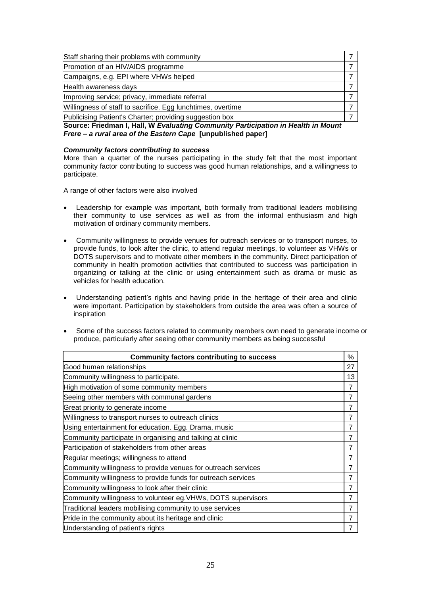| Staff sharing their problems with community                 |  |
|-------------------------------------------------------------|--|
| Promotion of an HIV/AIDS programme                          |  |
| Campaigns, e.g. EPI where VHWs helped                       |  |
| Health awareness days                                       |  |
| Improving service; privacy, immediate referral              |  |
| Willingness of staff to sacrifice. Egg lunchtimes, overtime |  |
| Publicising Patient's Charter; providing suggestion box     |  |

**Source: Friedman I, Hall, W** *Evaluating Community Participation in Health in Mount Frere – a rural area of the Eastern Cape* **[unpublished paper]**

#### *Community factors contributing to success*

More than a quarter of the nurses participating in the study felt that the most important community factor contributing to success was good human relationships, and a willingness to participate.

A range of other factors were also involved

- Leadership for example was important, both formally from traditional leaders mobilising their community to use services as well as from the informal enthusiasm and high motivation of ordinary community members.
- Community willingness to provide venues for outreach services or to transport nurses, to provide funds, to look after the clinic, to attend regular meetings, to volunteer as VHWs or DOTS supervisors and to motivate other members in the community. Direct participation of community in health promotion activities that contributed to success was participation in organizing or talking at the clinic or using entertainment such as drama or music as vehicles for health education.
- Understanding patient's rights and having pride in the heritage of their area and clinic were important. Participation by stakeholders from outside the area was often a source of inspiration
- Some of the success factors related to community members own need to generate income or produce, particularly after seeing other community members as being successful

| <b>Community factors contributing to success</b>              | %              |
|---------------------------------------------------------------|----------------|
| Good human relationships                                      | 27             |
| Community willingness to participate.                         | 13             |
| High motivation of some community members                     | $\overline{7}$ |
| Seeing other members with communal gardens                    | 7              |
| Great priority to generate income                             | $\overline{7}$ |
| Willingness to transport nurses to outreach clinics           | $\overline{7}$ |
| Using entertainment for education. Egg. Drama, music          | 7              |
| Community participate in organising and talking at clinic     | 7              |
| Participation of stakeholders from other areas                | 7              |
| Regular meetings; willingness to attend                       | $\overline{7}$ |
| Community willingness to provide venues for outreach services | $\overline{7}$ |
| Community willingness to provide funds for outreach services  | $\overline{7}$ |
| Community willingness to look after their clinic              | $\overline{7}$ |
| Community willingness to volunteer eg. VHWs, DOTS supervisors | $\overline{7}$ |
| Traditional leaders mobilising community to use services      | $\overline{7}$ |
| Pride in the community about its heritage and clinic          | $\overline{7}$ |
| Understanding of patient's rights                             | 7              |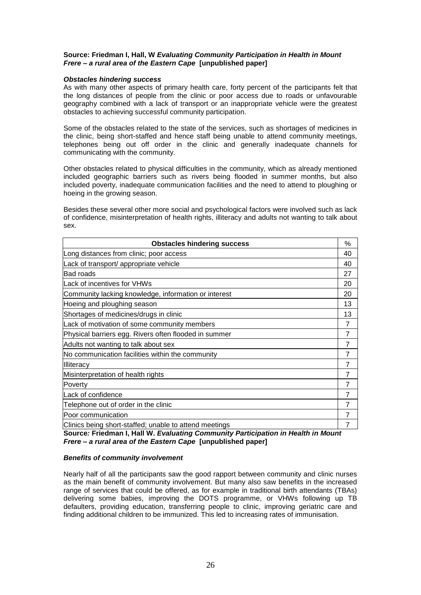## **Source: Friedman I, Hall, W** *Evaluating Community Participation in Health in Mount Frere – a rural area of the Eastern Cape* **[unpublished paper]**

### *Obstacles hindering success*

As with many other aspects of primary health care, forty percent of the participants felt that the long distances of people from the clinic or poor access due to roads or unfavourable geography combined with a lack of transport or an inappropriate vehicle were the greatest obstacles to achieving successful community participation.

Some of the obstacles related to the state of the services, such as shortages of medicines in the clinic, being short-staffed and hence staff being unable to attend community meetings, telephones being out off order in the clinic and generally inadequate channels for communicating with the community.

Other obstacles related to physical difficulties in the community, which as already mentioned included geographic barriers such as rivers being flooded in summer months, but also included poverty, inadequate communication facilities and the need to attend to ploughing or hoeing in the growing season.

Besides these several other more social and psychological factors were involved such as lack of confidence, misinterpretation of health rights, illiteracy and adults not wanting to talk about sex.

| <b>Obstacles hindering success</b>                     | %  |
|--------------------------------------------------------|----|
| Long distances from clinic; poor access                | 40 |
| Lack of transport/ appropriate vehicle                 | 40 |
| <b>Bad roads</b>                                       | 27 |
| Lack of incentives for VHWs                            | 20 |
| Community lacking knowledge, information or interest   | 20 |
| Hoeing and ploughing season                            | 13 |
| Shortages of medicines/drugs in clinic                 | 13 |
| Lack of motivation of some community members           | 7  |
| Physical barriers egg. Rivers often flooded in summer  | 7  |
| Adults not wanting to talk about sex                   | 7  |
| No communication facilities within the community       | 7  |
| Illiteracy                                             | 7  |
| Misinterpretation of health rights                     | 7  |
| Poverty                                                | 7  |
| Lack of confidence                                     | 7  |
| Telephone out of order in the clinic                   | 7  |
| Poor communication                                     | 7  |
| Clinics being short-staffed; unable to attend meetings | 7  |

**Source***:* **Friedman I, Hall W.** *Evaluating Community Participation in Health in Mount Frere – a rural area of the Eastern Cape* **[unpublished paper]**

## *Benefits of community involvement*

Nearly half of all the participants saw the good rapport between community and clinic nurses as the main benefit of community involvement. But many also saw benefits in the increased range of services that could be offered, as for example in traditional birth attendants (TBAs) delivering some babies, improving the DOTS programme, or VHWs following up TB defaulters, providing education, transferring people to clinic, improving geriatric care and finding additional children to be immunized. This led to increasing rates of immunisation.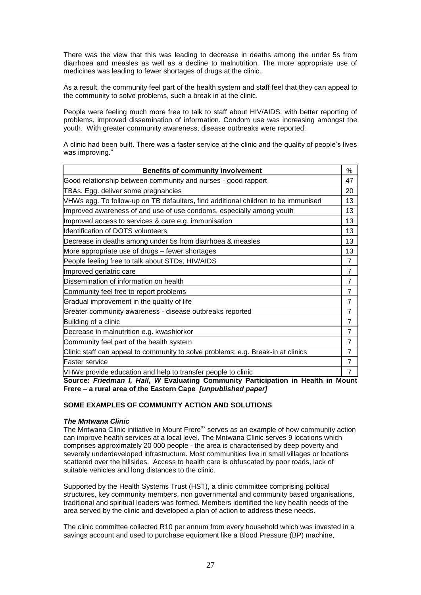There was the view that this was leading to decrease in deaths among the under 5s from diarrhoea and measles as well as a decline to malnutrition. The more appropriate use of medicines was leading to fewer shortages of drugs at the clinic.

As a result, the community feel part of the health system and staff feel that they can appeal to the community to solve problems, such a break in at the clinic.

People were feeling much more free to talk to staff about HIV/AIDS, with better reporting of problems, improved dissemination of information. Condom use was increasing amongst the youth. With greater community awareness, disease outbreaks were reported.

A clinic had been built. There was a faster service at the clinic and the quality of people's lives was improving."

| <b>Benefits of community involvement</b>                                          | %              |
|-----------------------------------------------------------------------------------|----------------|
| Good relationship between community and nurses - good rapport                     | 47             |
| TBAs. Egg. deliver some pregnancies                                               | 20             |
| VHWs egg. To follow-up on TB defaulters, find additional children to be immunised | 13             |
| Improved awareness of and use of use condoms, especially among youth              | 13             |
| Improved access to services & care e.g. immunisation                              | 13             |
| <b>Identification of DOTS volunteers</b>                                          | 13             |
| Decrease in deaths among under 5s from diarrhoea & measles                        | 13             |
| More appropriate use of drugs – fewer shortages                                   | 13             |
| People feeling free to talk about STDs, HIV/AIDS                                  | $\overline{7}$ |
| Improved geriatric care                                                           | $\overline{7}$ |
| Dissemination of information on health                                            | $\overline{7}$ |
| Community feel free to report problems                                            | $\overline{7}$ |
| Gradual improvement in the quality of life                                        | $\overline{7}$ |
| Greater community awareness - disease outbreaks reported                          | $\overline{7}$ |
| Building of a clinic                                                              | $\overline{7}$ |
| Decrease in malnutrition e.g. kwashiorkor                                         | $\overline{7}$ |
| Community feel part of the health system                                          | $\overline{7}$ |
| Clinic staff can appeal to community to solve problems; e.g. Break-in at clinics  | $\overline{7}$ |
| lFaster service                                                                   | $\overline{7}$ |
| VHWs provide education and help to transfer people to clinic                      | $\overline{7}$ |

**Source:** *Friedman I, Hall, W* **Evaluating Community Participation in Health in Mount Frere – a rural area of the Eastern Cape** *[unpublished paper]*

#### **SOME EXAMPLES OF COMMUNITY ACTION AND SOLUTIONS**

#### *The Mntwana Clinic*

The Mntwana Clinic initiative in Mount Frere<sup>xx</sup> serves as an example of how community action can improve health services at a local level. The Mntwana Clinic serves 9 locations which comprises approximately 20 000 people - the area is characterised by deep poverty and severely underdeveloped infrastructure. Most communities live in small villages or locations scattered over the hillsides. Access to health care is obfuscated by poor roads, lack of suitable vehicles and long distances to the clinic.

Supported by the Health Systems Trust (HST), a clinic committee comprising political structures, key community members, non governmental and community based organisations, traditional and spiritual leaders was formed. Members identified the key health needs of the area served by the clinic and developed a plan of action to address these needs.

The clinic committee collected R10 per annum from every household which was invested in a savings account and used to purchase equipment like a Blood Pressure (BP) machine,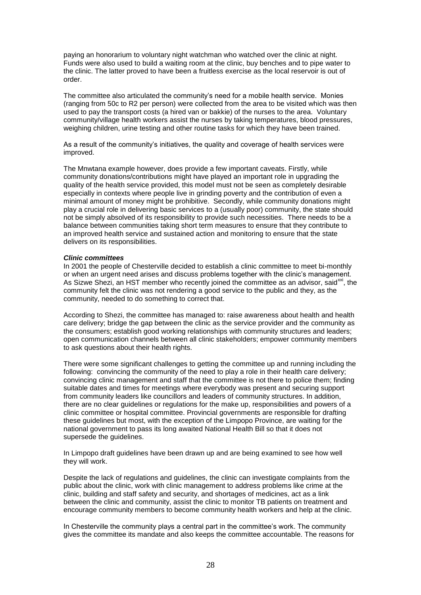paying an honorarium to voluntary night watchman who watched over the clinic at night. Funds were also used to build a waiting room at the clinic, buy benches and to pipe water to the clinic. The latter proved to have been a fruitless exercise as the local reservoir is out of order.

The committee also articulated the community's need for a mobile health service. Monies (ranging from 50c to R2 per person) were collected from the area to be visited which was then used to pay the transport costs (a hired van or bakkie) of the nurses to the area. Voluntary community/village health workers assist the nurses by taking temperatures, blood pressures, weighing children, urine testing and other routine tasks for which they have been trained.

As a result of the community's initiatives, the quality and coverage of health services were improved.

The Mnwtana example however, does provide a few important caveats. Firstly, while community donations/contributions might have played an important role in upgrading the quality of the health service provided, this model must not be seen as completely desirable especially in contexts where people live in grinding poverty and the contribution of even a minimal amount of money might be prohibitive. Secondly, while community donations might play a crucial role in delivering basic services to a (usually poor) community, the state should not be simply absolved of its responsibility to provide such necessities. There needs to be a balance between communities taking short term measures to ensure that they contribute to an improved health service and sustained action and monitoring to ensure that the state delivers on its responsibilities.

#### *Clinic committees*

In 2001 the people of Chesterville decided to establish a clinic committee to meet bi-monthly or when an urgent need arises and discuss problems together with the clinic's management. As Sizwe Shezi, an HST member who recently joined the committee as an advisor, said  $x^{\text{xx}}$ , the community felt the clinic was not rendering a good service to the public and they, as the community, needed to do something to correct that.

According to Shezi, the committee has managed to: raise awareness about health and health care delivery; bridge the gap between the clinic as the service provider and the community as the consumers; establish good working relationships with community structures and leaders; open communication channels between all clinic stakeholders; empower community members to ask questions about their health rights.

There were some significant challenges to getting the committee up and running including the following: convincing the community of the need to play a role in their health care delivery; convincing clinic management and staff that the committee is not there to police them; finding suitable dates and times for meetings where everybody was present and securing support from community leaders like councillors and leaders of community structures. In addition, there are no clear guidelines or regulations for the make up, responsibilities and powers of a clinic committee or hospital committee. Provincial governments are responsible for drafting these guidelines but most, with the exception of the Limpopo Province, are waiting for the national government to pass its long awaited National Health Bill so that it does not supersede the quidelines.

In Limpopo draft guidelines have been drawn up and are being examined to see how well they will work.

Despite the lack of regulations and guidelines, the clinic can investigate complaints from the public about the clinic, work with clinic management to address problems like crime at the clinic, building and staff safety and security, and shortages of medicines, act as a link between the clinic and community, assist the clinic to monitor TB patients on treatment and encourage community members to become community health workers and help at the clinic.

In Chesterville the community plays a central part in the committee's work. The community gives the committee its mandate and also keeps the committee accountable. The reasons for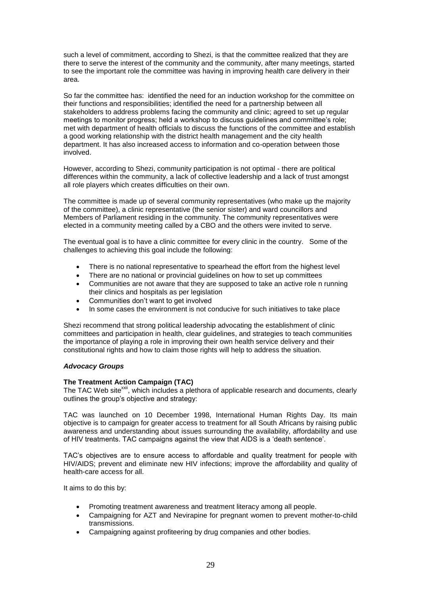such a level of commitment, according to Shezi, is that the committee realized that they are there to serve the interest of the community and the community, after many meetings, started to see the important role the committee was having in improving health care delivery in their area.

So far the committee has: identified the need for an induction workshop for the committee on their functions and responsibilities; identified the need for a partnership between all stakeholders to address problems facing the community and clinic; agreed to set up regular meetings to monitor progress; held a workshop to discuss guidelines and committee's role; met with department of health officials to discuss the functions of the committee and establish a good working relationship with the district health management and the city health department. It has also increased access to information and co-operation between those involved.

However, according to Shezi, community participation is not optimal - there are political differences within the community, a lack of collective leadership and a lack of trust amongst all role players which creates difficulties on their own.

The committee is made up of several community representatives (who make up the majority of the committee), a clinic representative (the senior sister) and ward councillors and Members of Parliament residing in the community. The community representatives were elected in a community meeting called by a CBO and the others were invited to serve.

The eventual goal is to have a clinic committee for every clinic in the country. Some of the challenges to achieving this goal include the following:

- There is no national representative to spearhead the effort from the highest level
- There are no national or provincial guidelines on how to set up committees
- Communities are not aware that they are supposed to take an active role n running their clinics and hospitals as per legislation
- Communities don't want to get involved
- In some cases the environment is not conducive for such initiatives to take place

Shezi recommend that strong political leadership advocating the establishment of clinic committees and participation in health, clear guidelines, and strategies to teach communities the importance of playing a role in improving their own health service delivery and their constitutional rights and how to claim those rights will help to address the situation.

## *Advocacy Groups*

#### **The Treatment Action Campaign (TAC)**

The TAC Web site<sup>xxii</sup>, which includes a plethora of applicable research and documents, clearly outlines the group's objective and strategy:

TAC was launched on 10 December 1998, International Human Rights Day. Its main objective is to campaign for greater access to treatment for all South Africans by raising public awareness and understanding about issues surrounding the availability, affordability and use of HIV treatments. TAC campaigns against the view that AIDS is a 'death sentence'.

TAC's objectives are to ensure access to affordable and quality treatment for people with HIV/AIDS; prevent and eliminate new HIV infections; improve the affordability and quality of health-care access for all.

It aims to do this by:

- Promoting treatment awareness and treatment literacy among all people.
- Campaigning for AZT and Nevirapine for pregnant women to prevent mother-to-child transmissions.
- Campaigning against profiteering by drug companies and other bodies.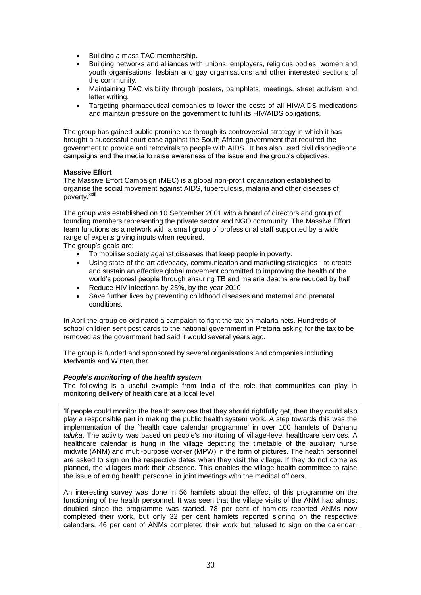- Building a mass TAC membership.
- Building networks and alliances with unions, employers, religious bodies, women and youth organisations, lesbian and gay organisations and other interested sections of the community.
- Maintaining TAC visibility through posters, pamphlets, meetings, street activism and letter writing.
- Targeting pharmaceutical companies to lower the costs of all HIV/AIDS medications and maintain pressure on the government to fulfil its HIV/AIDS obligations.

The group has gained public prominence through its controversial strategy in which it has brought a successful court case against the South African government that required the government to provide anti retrovirals to people with AIDS. It has also used civil disobedience campaigns and the media to raise awareness of the issue and the group's objectives.

#### **Massive Effort**

The Massive Effort Campaign (MEC) is a global non-profit organisation established to organise the social movement against AIDS, tuberculosis, malaria and other diseases of poverty.<sup>xxii</sup>

The group was established on 10 September 2001 with a board of directors and group of founding members representing the private sector and NGO community. The Massive Effort team functions as a network with a small group of professional staff supported by a wide range of experts giving inputs when required.

The group's goals are:

- To mobilise society against diseases that keep people in poverty.
- Using state-of-the art advocacy, communication and marketing strategies to create and sustain an effective global movement committed to improving the health of the world's poorest people through ensuring TB and malaria deaths are reduced by half
- Reduce HIV infections by 25%, by the year 2010
- Save further lives by preventing childhood diseases and maternal and prenatal conditions.

In April the group co-ordinated a campaign to fight the tax on malaria nets. Hundreds of school children sent post cards to the national government in Pretoria asking for the tax to be removed as the government had said it would several years ago.

The group is funded and sponsored by several organisations and companies including Medvantis and Winteruther.

## *People's monitoring of the health system*

The following is a useful example from India of the role that communities can play in monitoring delivery of health care at a local level.

'If people could monitor the health services that they should rightfully get, then they could also play a responsible part in making the public health system work. A step towards this was the implementation of the `health care calendar programme' in over 100 hamlets of Dahanu *taluka*. The activity was based on people's monitoring of village-level healthcare services. A healthcare calendar is hung in the village depicting the timetable of the auxiliary nurse midwife (ANM) and multi-purpose worker (MPW) in the form of pictures. The health personnel are asked to sign on the respective dates when they visit the village. If they do not come as planned, the villagers mark their absence. This enables the village health committee to raise the issue of erring health personnel in joint meetings with the medical officers.

An interesting survey was done in 56 hamlets about the effect of this programme on the functioning of the health personnel. It was seen that the village visits of the ANM had almost doubled since the programme was started. 78 per cent of hamlets reported ANMs now completed their work, but only 32 per cent hamlets reported signing on the respective calendars. 46 per cent of ANMs completed their work but refused to sign on the calendar.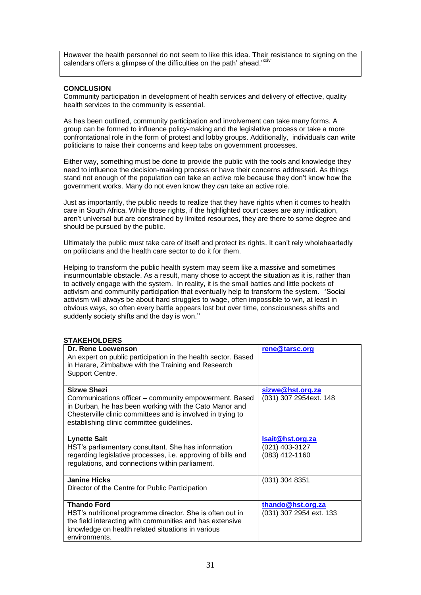However the health personnel do not seem to like this idea. Their resistance to signing on the calendars offers a glimpse of the difficulties on the path' ahead.<sup>'xxiv</sup>

## **CONCLUSION**

Community participation in development of health services and delivery of effective, quality health services to the community is essential.

As has been outlined, community participation and involvement can take many forms. A group can be formed to influence policy-making and the legislative process or take a more confrontational role in the form of protest and lobby groups. Additionally, individuals can write politicians to raise their concerns and keep tabs on government processes.

Either way, something must be done to provide the public with the tools and knowledge they need to influence the decision-making process or have their concerns addressed. As things stand not enough of the population can take an active role because they don't know how the government works. Many do not even know they *can* take an active role.

Just as importantly, the public needs to realize that they have rights when it comes to health care in South Africa. While those rights, if the highlighted court cases are any indication, aren't universal but are constrained by limited resources, they are there to some degree and should be pursued by the public.

Ultimately the public must take care of itself and protect its rights. It can't rely wholeheartedly on politicians and the health care sector to do it for them.

Helping to transform the public health system may seem like a massive and sometimes insurmountable obstacle. As a result, many chose to accept the situation as it is, rather than to actively engage with the system. In reality, it is the small battles and little pockets of activism and community participation that eventually help to transform the system. ''Social activism will always be about hard struggles to wage, often impossible to win, at least in obvious ways, so often every battle appears lost but over time, consciousness shifts and suddenly society shifts and the day is won.''

## **STAKEHOLDERS**

| Dr. Rene Loewenson                                            | rene@tarsc.org          |
|---------------------------------------------------------------|-------------------------|
| An expert on public participation in the health sector. Based |                         |
| in Harare, Zimbabwe with the Training and Research            |                         |
| Support Centre.                                               |                         |
|                                                               |                         |
| <b>Sizwe Shezi</b>                                            | sizwe@hst.org.za        |
| Communications officer - community empowerment. Based         | (031) 307 2954ext. 148  |
| in Durban, he has been working with the Cato Manor and        |                         |
| Chesterville clinic committees and is involved in trying to   |                         |
| establishing clinic committee guidelines.                     |                         |
|                                                               |                         |
| <b>Lynette Sait</b>                                           | Isait@hst.org.za        |
| HST's parliamentary consultant. She has information           | $(021)$ 403-3127        |
| regarding legislative processes, i.e. approving of bills and  | $(083)$ 412-1160        |
| regulations, and connections within parliament.               |                         |
|                                                               |                         |
| <b>Janine Hicks</b>                                           | (031) 304 8351          |
| Director of the Centre for Public Participation               |                         |
|                                                               |                         |
| <b>Thando Ford</b>                                            | thando@hst.org.za       |
| HST's nutritional programme director. She is often out in     | (031) 307 2954 ext. 133 |
| the field interacting with communities and has extensive      |                         |
| knowledge on health related situations in various             |                         |
| environments.                                                 |                         |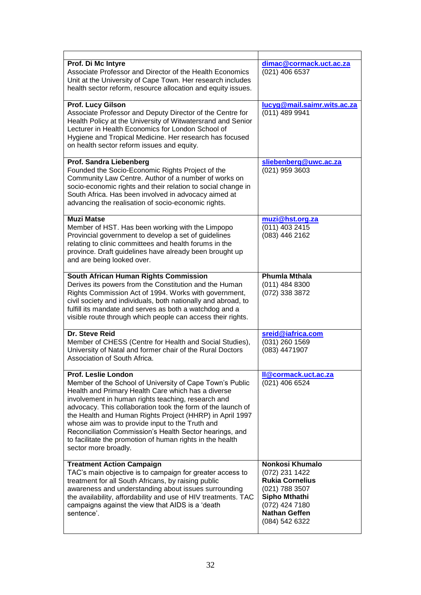| Prof. Di Mc Intyre<br>Associate Professor and Director of the Health Economics<br>Unit at the University of Cape Town. Her research includes<br>health sector reform, resource allocation and equity issues.                                                                                                                                                                                                                                                                                                              | dimac@cormack.uct.ac.za<br>(021) 406 6537                                                                                                                         |
|---------------------------------------------------------------------------------------------------------------------------------------------------------------------------------------------------------------------------------------------------------------------------------------------------------------------------------------------------------------------------------------------------------------------------------------------------------------------------------------------------------------------------|-------------------------------------------------------------------------------------------------------------------------------------------------------------------|
| <b>Prof. Lucy Gilson</b><br>Associate Professor and Deputy Director of the Centre for<br>Health Policy at the University of Witwatersrand and Senior<br>Lecturer in Health Economics for London School of<br>Hygiene and Tropical Medicine. Her research has focused<br>on health sector reform issues and equity.                                                                                                                                                                                                        | lucyg@mail.saimr.wits.ac.za<br>(011) 489 9941                                                                                                                     |
| <b>Prof. Sandra Liebenberg</b><br>Founded the Socio-Economic Rights Project of the<br>Community Law Centre. Author of a number of works on<br>socio-economic rights and their relation to social change in<br>South Africa. Has been involved in advocacy aimed at<br>advancing the realisation of socio-economic rights.                                                                                                                                                                                                 | sliebenberg@uwc.ac.za<br>(021) 959 3603                                                                                                                           |
| <b>Muzi Matse</b><br>Member of HST. Has been working with the Limpopo<br>Provincial government to develop a set of guidelines<br>relating to clinic committees and health forums in the<br>province. Draft guidelines have already been brought up<br>and are being looked over.                                                                                                                                                                                                                                          | muzi@hst.org.za<br>(011) 403 2415<br>(083) 446 2162                                                                                                               |
| South African Human Rights Commission<br>Derives its powers from the Constitution and the Human<br>Rights Commission Act of 1994. Works with government,<br>civil society and individuals, both nationally and abroad, to<br>fulfill its mandate and serves as both a watchdog and a<br>visible route through which people can access their rights.                                                                                                                                                                       | <b>Phumla Mthala</b><br>$(011)$ 484 8300<br>(072) 338 3872                                                                                                        |
| Dr. Steve Reid<br>Member of CHESS (Centre for Health and Social Studies),<br>University of Natal and former chair of the Rural Doctors<br>Association of South Africa.                                                                                                                                                                                                                                                                                                                                                    | sreid@iafrica.com<br>(031) 260 1569<br>(083) 4471907                                                                                                              |
| Prof. Leslie London<br>Member of the School of University of Cape Town's Public<br>Health and Primary Health Care which has a diverse<br>involvement in human rights teaching, research and<br>advocacy. This collaboration took the form of the launch of<br>the Health and Human Rights Project (HHRP) in April 1997<br>whose aim was to provide input to the Truth and<br>Reconciliation Commission's Health Sector hearings, and<br>to facilitate the promotion of human rights in the health<br>sector more broadly. | Il@cormack.uct.ac.za<br>(021) 406 6524                                                                                                                            |
| <b>Treatment Action Campaign</b><br>TAC's main objective is to campaign for greater access to<br>treatment for all South Africans, by raising public<br>awareness and understanding about issues surrounding<br>the availability, affordability and use of HIV treatments. TAC<br>campaigns against the view that AIDS is a 'death<br>sentence'.                                                                                                                                                                          | <b>Nonkosi Khumalo</b><br>(072) 231 1422<br><b>Rukia Cornelius</b><br>(021) 788 3507<br>Sipho Mthathi<br>(072) 424 7180<br><b>Nathan Geffen</b><br>(084) 542 6322 |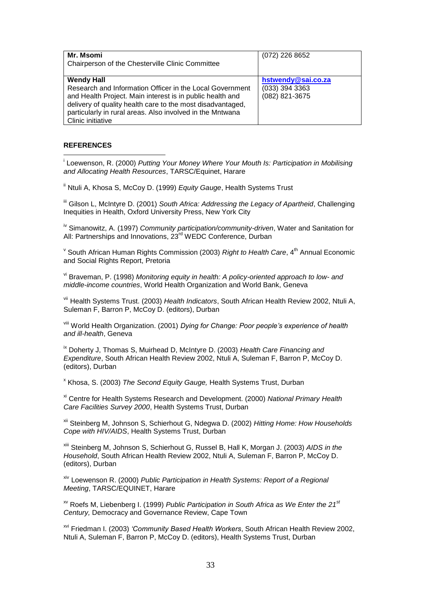| Mr. Msomi<br>Chairperson of the Chesterville Clinic Committee                                                                                                                                                                                                                              | (072) 226 8652                                           |
|--------------------------------------------------------------------------------------------------------------------------------------------------------------------------------------------------------------------------------------------------------------------------------------------|----------------------------------------------------------|
| <b>Wendy Hall</b><br>Research and Information Officer in the Local Government<br>and Health Project. Main interest is in public health and<br>delivery of quality health care to the most disadvantaged,<br>particularly in rural areas. Also involved in the Mntwana<br>Clinic initiative | hstwendy@sai.co.za<br>$(033)$ 394 3363<br>(082) 821-3675 |

## **REFERENCES**

 i Loewenson, R. (2000) *Putting Your Money Where Your Mouth Is: Participation in Mobilising and Allocating Health Resources*, TARSC/Equinet, Harare

<sup>ii</sup> Ntuli A, Khosa S, McCoy D. (1999) *Equity Gauge*, Health Systems Trust

iii Gilson L, McIntyre D. (2001) *South Africa: Addressing the Legacy of Apartheid*, Challenging Inequities in Health, Oxford University Press, New York City

iv Simanowitz, A. (1997) *Community participation/community-driven*, Water and Sanitation for All: Partnerships and Innovations, 23<sup>rd</sup> WEDC Conference, Durban

<sup>v</sup> South African Human Rights Commission (2003) *Right to Health Care*, 4<sup>th</sup> Annual Economic and Social Rights Report, Pretoria

vi Braveman, P. (1998) *Monitoring equity in health: A policy-oriented approach to low- and middle-income countries*, World Health Organization and World Bank, Geneva

vii Health Systems Trust. (2003) *Health Indicators*, South African Health Review 2002, Ntuli A, Suleman F, Barron P, McCoy D, (editors), Durban

viii World Health Organization. (2001) *Dying for Change: Poor people's experience of health and ill-health*, Geneva

ix Doherty J, Thomas S, Muirhead D, McIntyre D. (2003) *Health Care Financing and Expenditure*, South African Health Review 2002, Ntuli A, Suleman F, Barron P, McCoy D. (editors), Durban

x Khosa, S. (2003) *The Second Equity Gauge,* Health Systems Trust, Durban

xi Centre for Health Systems Research and Development. (2000) *National Primary Health Care Facilities Survey 2000*, Health Systems Trust, Durban

xii Steinberg M, Johnson S, Schierhout G, Ndegwa D. (2002) *Hitting Home: How Households Cope with HIV/AIDS*, Health Systems Trust, Durban

xiii Steinberg M, Johnson S, Schierhout G, Russel B, Hall K, Morgan J. (2003) *AIDS in the Household*, South African Health Review 2002, Ntuli A, Suleman F, Barron P, McCoy D. (editors), Durban

xiv Loewenson R. (2000) *Public Participation in Health Systems: Report of a Regional Meeting*, TARSC/EQUINET, Harare

xv Roefs M, Liebenberg I. (1999) *Public Participation in South Africa as We Enter the 21st Century,* Democracy and Governance Review, Cape Town

xvi Friedman I. (2003) *'Community Based Health Workers*, South African Health Review 2002, Ntuli A, Suleman F, Barron P, McCoy D. (editors), Health Systems Trust, Durban